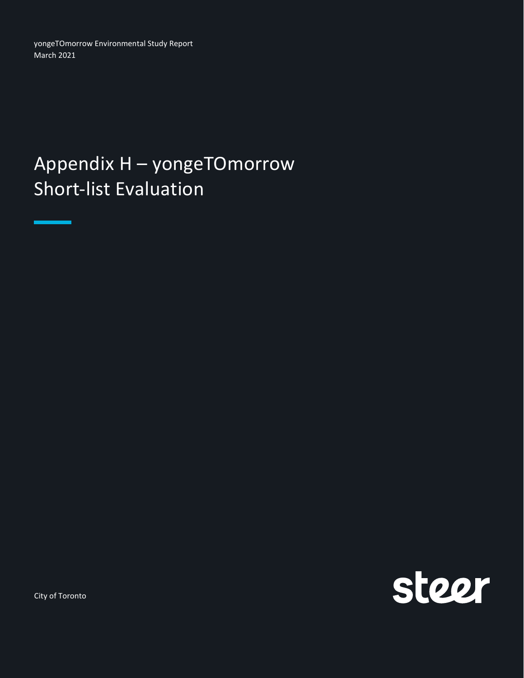yongeTOmorrow Environmental Study Report March 2021

## Appendix H – yongeTOmorrow Short-list Evaluation

steer

City of Toronto

<u>mana a</u>

н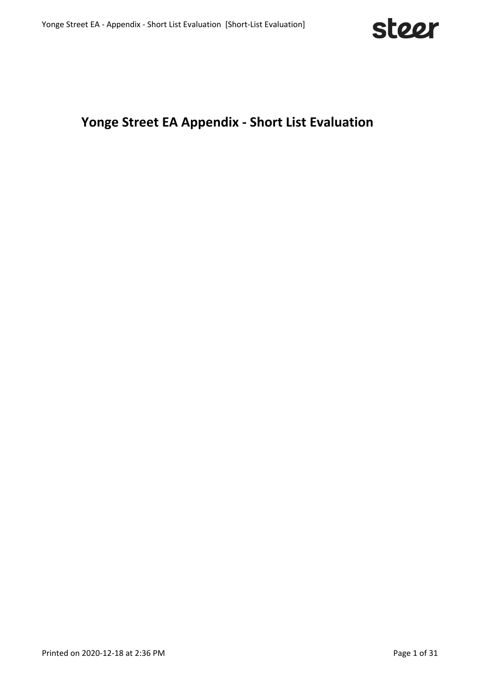

## **Yonge Street EA Appendix - Short List Evaluation**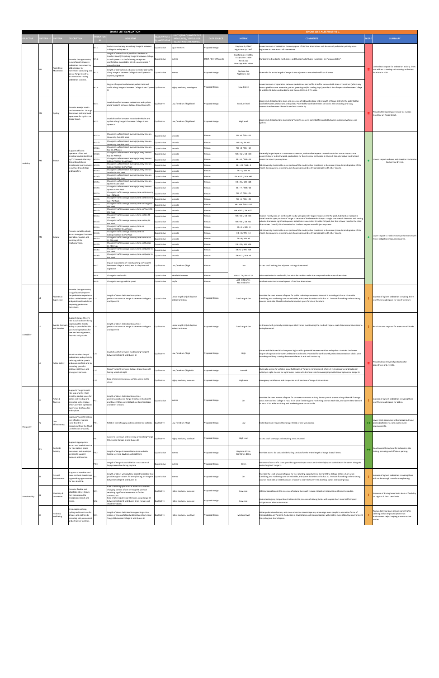|                 |                   |                          |                                                                                                                      |                   | <b>SHORT LIST EVALUATION</b>                                                                                    |                     |                                                  |                             |                                        | <b>SHORT LIST ALTERNATIVE 1</b>                                                                                                                                                                                                                   |              |                                                                                             |
|-----------------|-------------------|--------------------------|----------------------------------------------------------------------------------------------------------------------|-------------------|-----------------------------------------------------------------------------------------------------------------|---------------------|--------------------------------------------------|-----------------------------|----------------------------------------|---------------------------------------------------------------------------------------------------------------------------------------------------------------------------------------------------------------------------------------------------|--------------|---------------------------------------------------------------------------------------------|
|                 |                   |                          |                                                                                                                      |                   |                                                                                                                 |                     | NITS (FOR QUANTITATIVI                           |                             |                                        |                                                                                                                                                                                                                                                   |              |                                                                                             |
| <b>SJECTIVE</b> | <b>RITERIA ID</b> | <b>RITERIA</b>           | ESCRIPTION                                                                                                           |                   | <b>NDICATOR</b>                                                                                                 | <b>JANTITATIV</b>   | MEASURES) / LEVELS (FOI<br>QUALITATIVE MEASURES  | <b>DATA SOURCE</b>          | <b>METRIC</b>                          | <b>COMMENTS</b>                                                                                                                                                                                                                                   | <b>SCORE</b> | <b>SUMMARY</b>                                                                              |
|                 |                   |                          |                                                                                                                      | M1.1              | Pedestrian clearway area along Yonge St between                                                                 | Quantitative        | square metres                                    | roposed Design              | Daytime: 9,478m <sup>2</sup>           | owest amount of pedestrian clearway space of the four alternatives and absence of pedestrian priority areas.                                                                                                                                      |              |                                                                                             |
|                 |                   |                          |                                                                                                                      |                   | College St and Queen St                                                                                         |                     |                                                  |                             | Nighttime: 9,478m <sup>2</sup>         | Nighttime is same across all alternatives.                                                                                                                                                                                                        |              |                                                                                             |
|                 |                   |                          |                                                                                                                      |                   | Length of sidewalk with peak hour Pedestrian<br>Comfort Level (PCL) along Yonge St between College              |                     |                                                  |                             | Comfortable: 1508m<br>Acceptable: 246m |                                                                                                                                                                                                                                                   |              |                                                                                             |
|                 |                   |                          | rovides the opportunity<br>to significantly improve                                                                  | M1.2              | St and Queen St in the following categories:<br>comfortable; acceptable; at risk; unacceptable /                | Quantitative        | metres                                           | DYBIA / City of Toronto     | At risk: 0m                            | Dundas St to Dundas Sq (both sides) and Dundas Sq to Shuter (west side) are "unacceptable".                                                                                                                                                       |              |                                                                                             |
|                 | M1                |                          | edestrian movement by<br>adding space for                                                                            |                   | ncomfortable                                                                                                    |                     |                                                  |                             | Unacceptable: 334m                     |                                                                                                                                                                                                                                                   |              | Limited extra space for pedestrian activity. Does                                           |
|                 |                   | Pedestrian<br>Movement   | ovement both along and                                                                                               | M1.3              | Length of sidewalk not adjacent to motorized traffic<br>along Yonge St between College St and Queen St:         | Quantitative        | metres                                           | Proposed Design             | Daytime: 0m                            | Sidewalks for entire length of Yonge St are adjacent to motorized traffic at all times.                                                                                                                                                           |              | not address crowding and crossings at busiest<br>locations in 2031.                         |
|                 |                   |                          | across Yonge Street to<br>ccommodate rowing                                                                          |                   | daytime, nighttime                                                                                              |                     |                                                  |                             | Nighttime: 0m                          |                                                                                                                                                                                                                                                   |              |                                                                                             |
|                 |                   |                          | pedestrian volumes.                                                                                                  |                   |                                                                                                                 |                     |                                                  |                             |                                        |                                                                                                                                                                                                                                                   |              |                                                                                             |
|                 |                   |                          |                                                                                                                      | M1.4              | Degree of separation between pedestrians and<br>traffic along Yonge St between College St and Queen Qualitative |                     | High / medium / low degree                       | roposed Design              | Low degree                             | Lowest amount of seperation between pedestrians and traffic. A buffer zone on both sides of the street (which may<br>be occupied by street amenities, patios, greening and/or loading bays) provides 3.5m of seperation between College           |              |                                                                                             |
|                 |                   |                          |                                                                                                                      |                   |                                                                                                                 |                     |                                                  |                             |                                        | St and Elm St; between Dundas Sq and Queen St this is 2.7m wide.                                                                                                                                                                                  |              |                                                                                             |
|                 |                   |                          |                                                                                                                      |                   |                                                                                                                 |                     |                                                  |                             |                                        |                                                                                                                                                                                                                                                   |              |                                                                                             |
|                 |                   |                          |                                                                                                                      | M2.1              | Level of conflict between pedestrians and cyclists                                                              | Qualitative         | Low / medium / high level                        | Proposed Design             | Medium level                           | Absence of dedicated bike lane, and presence of sidewalks along entire length of Yonge St limits the potential for<br>onflict between pedestrians and cyclists. Potential for conflict remains on blocks with crowding and busy                   |              |                                                                                             |
|                 |                   |                          | rovides a major north-                                                                                               |                   | along Yonge St between College St and Queen St.                                                                 |                     |                                                  |                             |                                        | intersections between Edward St and and Dundas Sq.                                                                                                                                                                                                |              |                                                                                             |
|                 | M <sub>2</sub>    | Cycling                  | outh connection through<br>owntown and improved                                                                      |                   |                                                                                                                 |                     |                                                  |                             |                                        |                                                                                                                                                                                                                                                   | п            | Provides the least improvement for cyclists                                                 |
|                 |                   |                          | experience for cyclists on<br>Yonge Street.                                                                          |                   | evel of conflict between motorised vehicles and                                                                 |                     |                                                  |                             |                                        |                                                                                                                                                                                                                                                   |              | travelling on Yonge Street.                                                                 |
|                 |                   |                          |                                                                                                                      | M2.2              | cyclists along Yonge St between College St and<br>Queen St                                                      | Qualitative         | Low / medium / high level                        | Proposed Design             | <b>High level</b>                      | Absence of dedicated bike lanes along Yonge St presents potential for conflict between motorised vehicles and<br>cyclists.                                                                                                                        |              |                                                                                             |
|                 |                   |                          |                                                                                                                      |                   |                                                                                                                 |                     |                                                  |                             |                                        |                                                                                                                                                                                                                                                   |              |                                                                                             |
|                 |                   |                          |                                                                                                                      |                   | Change in surface transit average journey time on                                                               |                     |                                                  |                             |                                        |                                                                                                                                                                                                                                                   |              |                                                                                             |
|                 |                   |                          |                                                                                                                      | M3.1a             | Jniversity Ave: AM peak                                                                                         | <b>Quantitative</b> | seconds                                          | <b>Aimsun</b>               | NB: +4 / SB: +53                       |                                                                                                                                                                                                                                                   |              |                                                                                             |
|                 |                   |                          |                                                                                                                      | M3.1 <sub>b</sub> | Change in surface transit average journey time on<br>University Ave: PM Peak                                    | Quantitative        | seconds                                          | <b><i><u>Aimsur</u></i></b> | NB: -3 / SB: +12                       |                                                                                                                                                                                                                                                   |              |                                                                                             |
|                 |                   |                          | upports efficient                                                                                                    | M3.2a             | Change in surface transit average journey time on<br>Bay St: AM peak                                            | Quantitative        | seconds                                          | Aimsun                      | NR: +8 / SR: +10                       |                                                                                                                                                                                                                                                   |              |                                                                                             |
|                 |                   |                          | peration of bus and                                                                                                  | M3.2 <sub>b</sub> | Change in surface transit average journey time on<br>Bay St: PM Peak                                            | Quantitative        | seconds                                          | <b>Aimsun</b>               | NB: +32 / SB: +18                      | enerally larger impacts to east-west streetcars, with smaller impacts to north-south bus routes. Impacts are                                                                                                                                      |              |                                                                                             |
|                 | M <sub>3</sub>    | Transit                  | streetcar routes identified<br>by TTC to meet ridership                                                              | M3.3a             | Change in surface transit average journey time on                                                               | Quantitative        | seconds                                          | Aimsun                      | EB: +8 / WB: -14                       | enerally larger in the PM peak, particularly for the streetcar on Dundas St. Overall, this alternative has the least<br>impact on transit journey times.                                                                                          |              | Lowest impact on buses and streetcar routes due                                             |
| Mobility        |                   |                          | awolls hos hosme<br>treetscape improvemer                                                                            | M3.3b             | College/Carlton St: AM peak<br>Change in surface transit average journey time on                                | <b>Quantitative</b> | seconds                                          | <b>Aimsun</b>               | EB: +20 / WB: -2                       | NB: University Ave is in the meso portion of the model; other streets are in the micro (more detailed) portion of the                                                                                                                             |              | to diverting drivers.                                                                       |
|                 |                   |                          | to surface transit stops<br>and transfers.                                                                           | M3.4a             | ollege/Carlton St: PM Peak<br>Change in surface transit average journey time on                                 | Quantitative        | seconds                                          | Aimsur                      | EB: -1 / WB: +4                        | nodel. Consequently, University Ave changes are not directly comparable with other streets                                                                                                                                                        |              |                                                                                             |
|                 |                   |                          |                                                                                                                      | M3.4b             | Dundas St: AM peak<br>Change in surface transit average journey time on                                         |                     |                                                  | <b>Aimsun</b>               | EB: +107 / WB: +67                     |                                                                                                                                                                                                                                                   |              |                                                                                             |
|                 |                   |                          |                                                                                                                      |                   | Jundas St: PM Peak<br>Change in surface transit average journey time on                                         | <b>Quantitative</b> | seconds                                          |                             |                                        |                                                                                                                                                                                                                                                   |              |                                                                                             |
|                 |                   |                          |                                                                                                                      | M3.5a             | Jueen St: AM peak<br>Change in surface transit average journey time on                                          | Quantitative        | seconds                                          | <b>Aimsun</b>               | EB: -25 / WB: +28                      |                                                                                                                                                                                                                                                   |              |                                                                                             |
|                 |                   |                          |                                                                                                                      | M3.5b             | Queen St: PM Peak                                                                                               | Quantitative        | seconds                                          | <b>Aimsun</b>               | EB: +7 / WB: -14                       |                                                                                                                                                                                                                                                   |              |                                                                                             |
|                 |                   |                          |                                                                                                                      | M4.1a             | Change in traffic average journey time on University<br>ive: AM peak                                            | Quantitative        | seconds                                          | imsun                       | NB: +7 / SB: +25                       |                                                                                                                                                                                                                                                   |              |                                                                                             |
|                 |                   |                          |                                                                                                                      | M4.1 <sub>b</sub> | Change in traffic average journey time on University<br>Ave: PM Peak                                            | Quantitative        | seconds                                          | <b><i><u>Aimsur</u></i></b> | NB: +5 / SB: +28                       |                                                                                                                                                                                                                                                   |              |                                                                                             |
|                 |                   |                          |                                                                                                                      | M4.2a             | Change in traffic average journey time on Yonge St:<br>AM peak                                                  | <b>Quantitative</b> | seconds                                          | <b>Aimsun</b>               | NB: +98 / SB: +137                     |                                                                                                                                                                                                                                                   |              |                                                                                             |
|                 |                   |                          |                                                                                                                      | M4.2b             | Change in traffic average journey time on Yonge St:<br>PM Peak                                                  | Quantitative        | seconds                                          | <b>Aimsun</b>               | NB: +262 / SB: +172                    |                                                                                                                                                                                                                                                   |              |                                                                                             |
|                 |                   |                          |                                                                                                                      | M4.3a             | Change in traffic average journey time on Bay St:<br>AM peak                                                    | <b>Quantitative</b> | seconds                                          | Aimsur                      | NB: +18 / SB: +34                      | mpacts mainly seen on north-south roads, with generally larger impacts in the PM peak. Substantial increase in                                                                                                                                    |              |                                                                                             |
|                 |                   |                          |                                                                                                                      | M4.3b             | Change in traffic average journey time on Bay St:                                                               | <b>Quantitative</b> | seconds                                          | imsur                       | NB: +56 / SB: +41                      | ravel time for open portions of Yonge St because of the lane reduction (to a single lane in each direction) and turning<br>ehicles that cause significant queues. Notable increase in Bay St in the PM peak, but this is lower than for the other |              |                                                                                             |
|                 |                   |                          |                                                                                                                      | M4.4a             | PM Peak<br>Change in traffic average journey time on                                                            | Quantitative        | seconds                                          | <b>Aimsun</b>               | EB: +6 / WB: -8                        | Iternatives. Overall, this alternative has the least impact on traffic journey times.                                                                                                                                                             |              |                                                                                             |
|                 | M <sub>4</sub>    | Driving                  | rovides suitable vehicle<br>access to support busines:<br>operation, tourism and<br>ervicing of the<br>eighbourhood. | M4.4b             | college/Carlton St: AM peak<br>Change in traffic average journey time on                                        |                     |                                                  | <b><i><u>Aimsur</u></i></b> | EB: -8 / WB: -13                       | (B: University Ave is in the meso portion of the model; other streets are in the micro (more detailed) portion of the                                                                                                                             |              |                                                                                             |
|                 |                   |                          |                                                                                                                      |                   | College/Carlton St: PM Peak<br>Change in traffic average journey time on Dundas                                 | uantitative         | seconds                                          |                             |                                        | odel. Consequently, University Ave changes are not directly comparable with other streets.                                                                                                                                                        |              | Lower impact to road network performance with                                               |
|                 |                   |                          |                                                                                                                      | M4.5a             | st: AM peak<br>Change in traffic average journey time on Dundas                                                 | Quantitative        | seconds                                          | <b>Aimsun</b>               | EB: -8 / WB: +3                        |                                                                                                                                                                                                                                                   |              | fewer mitigation measures required.                                                         |
|                 |                   |                          |                                                                                                                      | M4.5b             | St: PM Peak                                                                                                     | Quantitative        | seconds                                          | limsun                      | EB: -23 / WB: +26                      |                                                                                                                                                                                                                                                   |              |                                                                                             |
|                 |                   |                          |                                                                                                                      | M4.6a             | Change in traffic average journey time on Queen St:<br>AM peak                                                  | <b>Quantitative</b> | seconds                                          | imsur                       | EB: +2 / WB: +19                       |                                                                                                                                                                                                                                                   |              |                                                                                             |
|                 |                   |                          |                                                                                                                      | M4.6b             | Change in traffic average journey time on Queen St:<br>PM Peak                                                  | Quantitative        | seconds                                          | imsur                       | EB: +12 / WB: +5                       |                                                                                                                                                                                                                                                   |              |                                                                                             |
|                 |                   |                          |                                                                                                                      |                   | mpact to access to off-street parking on Yonge St                                                               |                     |                                                  |                             |                                        |                                                                                                                                                                                                                                                   |              |                                                                                             |
|                 |                   |                          |                                                                                                                      | M4.7              | between College St and Queen St: daytime and<br>highttime                                                       | Qualitative         | Low / medium / high                              | Aimsur                      | Low                                    | Access to all parking lots adjacent to Yonge St retained.                                                                                                                                                                                         |              |                                                                                             |
|                 |                   |                          |                                                                                                                      |                   |                                                                                                                 |                     |                                                  |                             |                                        |                                                                                                                                                                                                                                                   |              |                                                                                             |
|                 |                   |                          |                                                                                                                      | M4.8              | Change in total traffic                                                                                         | Quantitative        | vehicle-kilometres                               | Aimsun                      | AM: -1.7%; PM:-1.1%<br>AM: - 0.5km/hr; | Minor reduction in total traffic, but with the smallest reduction compared to the other alternatives.                                                                                                                                             |              |                                                                                             |
|                 |                   |                          |                                                                                                                      | M4.9              | hange in average vehicle speed                                                                                  | Quantitative        | km/hr                                            | imsur                       | PM:-0.4km/h                            | mallest reduction in travel speeds of the four alternatives.                                                                                                                                                                                      |              |                                                                                             |
|                 |                   |                          |                                                                                                                      |                   |                                                                                                                 |                     |                                                  |                             |                                        |                                                                                                                                                                                                                                                   |              |                                                                                             |
|                 |                   |                          |                                                                                                                      |                   |                                                                                                                 |                     |                                                  |                             |                                        |                                                                                                                                                                                                                                                   |              |                                                                                             |
|                 |                   |                          | ovides the opportunity<br>to significantly improve                                                                   |                   |                                                                                                                 |                     |                                                  |                             |                                        |                                                                                                                                                                                                                                                   |              |                                                                                             |
|                 |                   | Pedestrian<br>Experience | the pedestrian experience<br>vith a unified streetscape L1.1                                                         |                   | Length of street dedicated to daytime<br>pedestrianization on Yonge St between College St                       | Quantitative        | Linear length (m) of daytime<br>pedestrianizaton | roposed Design              | Total Length: Om                       | Provides the least amount of space for public realm improvements. Gerrard St to College St has a 3.5m wide<br>furnishing and marketing zone on each side, and Queen St to Gerrard St has a 2.7m wide furnishing and marketing                     |              | In areas of highest pedestrian crowding, there                                              |
|                 |                   |                          | nd public realm while not<br>mpacting pedestrian                                                                     |                   | and Queen St                                                                                                    |                     |                                                  |                             |                                        | zone on each side. Therefore limited amount of space for street furniture.                                                                                                                                                                        |              | won't be enough space for street furniture.                                                 |
|                 |                   |                          | novement.                                                                                                            |                   |                                                                                                                 |                     |                                                  |                             |                                        |                                                                                                                                                                                                                                                   |              |                                                                                             |
|                 |                   |                          |                                                                                                                      |                   |                                                                                                                 |                     |                                                  |                             |                                        |                                                                                                                                                                                                                                                   |              |                                                                                             |
|                 |                   |                          | upports Yonge Street's<br>role as cultural corridor by                                                               |                   |                                                                                                                 |                     |                                                  |                             |                                        |                                                                                                                                                                                                                                                   |              |                                                                                             |
|                 |                   | Events, Festivals        | mproving the streets                                                                                                 |                   | Length of street dedicated to daytime                                                                           |                     | Linear length (m) of daytime                     |                             |                                        | As the road will generally remain open at all times, events using the road will require road closures and diversions to                                                                                                                           |              |                                                                                             |
|                 |                   | and Parades              | ability to provide flexible L2.1<br>pace and operations for                                                          |                   | pedestrianization on Yonge St between College St Qualitative<br>and Queen St                                    |                     | pedestrianizaton                                 | roposed Design              | Total Length: Om                       | be implemented.                                                                                                                                                                                                                                   |              | Road closures required for events on all blocks.                                            |
| Liveability     |                   |                          | new and existing events,<br>festivals and parades.                                                                   |                   |                                                                                                                 |                     |                                                  |                             |                                        |                                                                                                                                                                                                                                                   |              |                                                                                             |
|                 |                   |                          |                                                                                                                      |                   |                                                                                                                 |                     |                                                  |                             |                                        |                                                                                                                                                                                                                                                   |              |                                                                                             |
|                 |                   |                          |                                                                                                                      |                   |                                                                                                                 |                     |                                                  |                             |                                        |                                                                                                                                                                                                                                                   |              |                                                                                             |
|                 |                   |                          |                                                                                                                      |                   |                                                                                                                 |                     |                                                  |                             |                                        | Absence of dedicated bike lane poses high conflict potential between vehicles and cyclists. Provides the lowest                                                                                                                                   |              |                                                                                             |
|                 |                   |                          | rioritizes the safety of                                                                                             | L3.1              | Level of conflict between modes along Yonge St<br>between College St and Queen St                               | Qualitative         | Low / medium / high                              | Proposed Design             | High                                   | degree of seperation between pedestrians and traffic. Potential for conflict with pedestrians remain on blocks with                                                                                                                               |              |                                                                                             |
|                 |                   |                          | pedestrians and cyclists by<br>reducing vehicle speeds                                                               |                   |                                                                                                                 |                     |                                                  |                             |                                        | crowding and busy crossings between Edward St and and Dundas Sq.                                                                                                                                                                                  |              |                                                                                             |
|                 | L3                | <b>Public Safety</b>     | and mode conflicts and by<br>roviding space for                                                                      |                   |                                                                                                                 |                     |                                                  |                             |                                        |                                                                                                                                                                                                                                                   |              | Provides lowest level of protection for<br>pedestrians and cyclists.                        |
|                 |                   |                          | lighting, sight lines and                                                                                            | L3.2              | Risk of Yonge St between College St and Queen St                                                                | Qualitative         | Low / medium / high risk                         | roposed Design              | Low risk                               | Overnight access for vehicles along full length of Yonge St minimizes risk of street feeling isolated and lacking in                                                                                                                              |              |                                                                                             |
|                 |                   |                          | mergency services.                                                                                                   |                   | feeling unsafe at night                                                                                         |                     |                                                  |                             |                                        | activity at night. Access for night buses, taxis and ride share vehicles overnight provide travel options on Yonge St.                                                                                                                            |              |                                                                                             |
|                 |                   |                          |                                                                                                                      | L3.3              | Ease of emergency service vehicle access to the<br>street                                                       | Qualitative         | High / medium / low ease                         | roposed Design              | High ease                              | mergency vehicles are able to operate on all sections of Yonge St at any time.                                                                                                                                                                    |              |                                                                                             |
|                 |                   |                          |                                                                                                                      |                   |                                                                                                                 |                     |                                                  |                             |                                        |                                                                                                                                                                                                                                                   |              |                                                                                             |
|                 |                   |                          | Support's Yonge Street's<br>role as a priority retail                                                                |                   |                                                                                                                 |                     |                                                  |                             |                                        |                                                                                                                                                                                                                                                   |              |                                                                                             |
|                 |                   |                          | treet by adding space for                                                                                            |                   | Length of street dedicated to daytime                                                                           |                     |                                                  |                             |                                        | Provides the least amount of space for on-street economic activity. Some space is present along sidewalk frontage                                                                                                                                 |              |                                                                                             |
|                 | Р1                | Retail &<br>Tourism      | patios and vending and<br>providing a streetscape                                                                    | P1.1              | pedestrianization on Yonge St between College St<br>and Queen St for potential patios, store frontages          | Quantitative        | metres                                           | roposed Design              | 0 <sub>m</sub>                         | areas: Gerrard S to College St has a 3.5m wide furnishing and marketing zone on each side, and Queen St to Gerrard                                                                                                                                |              | In areas of highest pedestrian crowding there<br>won't be enough space for patios.          |
|                 |                   |                          | which provides a pleasant<br>experience to shop, dine                                                                |                   | and street vendors                                                                                              |                     |                                                  |                             |                                        | St has a 2.7m wide furnishing and marketing zone on each side.                                                                                                                                                                                    |              |                                                                                             |
|                 |                   |                          | and explore.                                                                                                         |                   |                                                                                                                 |                     |                                                  |                             |                                        |                                                                                                                                                                                                                                                   |              |                                                                                             |
|                 |                   |                          | mproves Yonge Street in a                                                                                            |                   |                                                                                                                 |                     |                                                  |                             |                                        |                                                                                                                                                                                                                                                   |              |                                                                                             |
|                 |                   | Cost                     | cost effective manner<br>note that this is                                                                           | P2.1              | Relative cost of supply and installation for bollards. Qualitative                                              |                     | Low / medium / high                              | roposed Design              | Low                                    | Bollards are not required to manage timed or one-way access.                                                                                                                                                                                      | 44           | Lower costs associated with managing driving<br>access (bollards etc.) and public realm     |
| Prosperity      |                   | Effectiveness            | onsidered from the Short<br>List Selection onwards].                                                                 |                   |                                                                                                                 |                     |                                                  |                             |                                        |                                                                                                                                                                                                                                                   |              | mprovements                                                                                 |
|                 |                   |                          |                                                                                                                      |                   |                                                                                                                 |                     |                                                  |                             |                                        |                                                                                                                                                                                                                                                   |              |                                                                                             |
|                 |                   |                          |                                                                                                                      | P3.1              | Access to laneways and servicing areas along Yonge Qualitative                                                  |                     | High / medium / low level                        | Proposed Design             | High level                             | Access to all laneways and servicing areas retained.                                                                                                                                                                                              |              |                                                                                             |
|                 |                   |                          | upports appropriate                                                                                                  |                   | St between College St and Queen St                                                                              |                     |                                                  |                             |                                        |                                                                                                                                                                                                                                                   |              |                                                                                             |
|                 | P3                | Curbside                 | access and level of service<br>for ride hailing, goods                                                               |                   |                                                                                                                 |                     |                                                  |                             |                                        |                                                                                                                                                                                                                                                   |              | Good access throughout for deliveries, ride                                                 |
|                 |                   | Activity                 | ovement and municipal<br>ervices to support                                                                          | P3.2              | Length of Yonge St accessible to taxis and ride                                                                 | Quantitative        | metres                                           | roposed Design              | Davtime: 873m<br>Nighttime: 873m       | rovides access for taxi and ride hailing services for the entire length of Yonge St at all times.                                                                                                                                                 |              | hailing, servicing and off street parking.                                                  |
|                 |                   |                          | business and tourism.                                                                                                |                   | nailing services: daytime and nighttime                                                                         |                     |                                                  |                             |                                        |                                                                                                                                                                                                                                                   |              |                                                                                             |
|                 |                   |                          |                                                                                                                      | P3.3              | ength of Yonge St available for construction of                                                                 | Quantitative        | netres                                           | roposed Design              | 873m                                   | resence of two traffic lanes provides opportunity to construct daytime laybys on both sides of the street along the                                                                                                                               |              |                                                                                             |
|                 |                   |                          |                                                                                                                      |                   | aybys accessible during daytime                                                                                 |                     |                                                  |                             |                                        | ntire length of Yonge St.                                                                                                                                                                                                                         |              |                                                                                             |
|                 |                   | Natural                  | upports a healthier and                                                                                              |                   | Length of street with daytime pedestrianization that                                                            |                     |                                                  |                             |                                        | Provides the least amount of space for tree planting opportunities. Gerrard St to College St has a 3.5m wide                                                                                                                                      |              |                                                                                             |
|                 |                   | Environment              | nore resilient streetscape<br>by providing opportunities                                                             | S1.1              | provides opportunities for tree planting on Yonge St Quantitative<br>between College St and Queen St            |                     | metres                                           | Proposed Design             | 0m                                     | furnishing and marketing zone on each side, and Queen St to Gerrard St has a 2.7m wide furnishing and marketing<br>zone on each side; a limited amount of space to share between tree planting, patios and loading bays.                          |              | In areas of highest pedestrian crowding there<br>will not be enough room for tree planting. |
|                 |                   |                          | for tree planting.                                                                                                   |                   |                                                                                                                 |                     |                                                  |                             |                                        |                                                                                                                                                                                                                                                   |              |                                                                                             |
|                 |                   |                          | rovides flexible and                                                                                                 |                   | Ease of altering operation in the future to reflect<br>changing pattern of use on Yonge St, without             |                     |                                                  |                             |                                        |                                                                                                                                                                                                                                                   |              |                                                                                             |
|                 |                   | Flexibility &            | adaptable street design<br>that can respond to                                                                       | S2.1              | equiring significant investment in further<br>onstruction.                                                      | Qualitative         | High / medium / low ease                         | roposed Design              | Low ease                               | Altering operations in the presence of driving lanes will require mitigation measures on alternative routes.                                                                                                                                      |              | Presence of driving lanes limits level of flexibility                                       |
| Sustainability  |                   | nnovation                | hanging demands and<br>eeds.                                                                                         | S2.2              | Ease of altering physical elements along Yonge St<br>between College St and Queen St on regular and             | Qualitative         | High / medium / low ease                         | roposed Design              | Low ease                               | mplementing any temporal restrictions in the presence of driving lantes will require short-term traffic impact                                                                                                                                    |              | on regular & short term basis.                                                              |
|                 |                   |                          |                                                                                                                      |                   | short term basis                                                                                                |                     |                                                  |                             |                                        | iitigation on alternative routes.                                                                                                                                                                                                                 |              |                                                                                             |
|                 |                   |                          | ncourages walking,                                                                                                   |                   |                                                                                                                 |                     |                                                  |                             |                                        |                                                                                                                                                                                                                                                   |              | Reduced driving lanes provide some traffic                                                  |
|                 | S3                | Health &<br>Wellbeing    | ycling and transit use for<br>all ages and abilities by S3.1                                                         |                   | Length of street dedicated to supporting active<br>modes of transportation (walking & cycling) along            | Qualitative         | High / medium / low level                        | roposed Design              | Medium level                           | Wider pedestrian clearway and more attractive streetscape may encourage more people to use active forms of<br>transportation on Yonge St. Reduction in driving lanes and reduced speeds will create a more attractive environment                 |              | calming and an improved pedestrian                                                          |
|                 |                   |                          | providing safe, convenient<br>and attractive facilities.                                                             |                   | Yonge St between College St and Queen St                                                                        |                     |                                                  |                             |                                        | for cycling in a shared space.                                                                                                                                                                                                                    |              | environment helps, helping promote active<br>modes.                                         |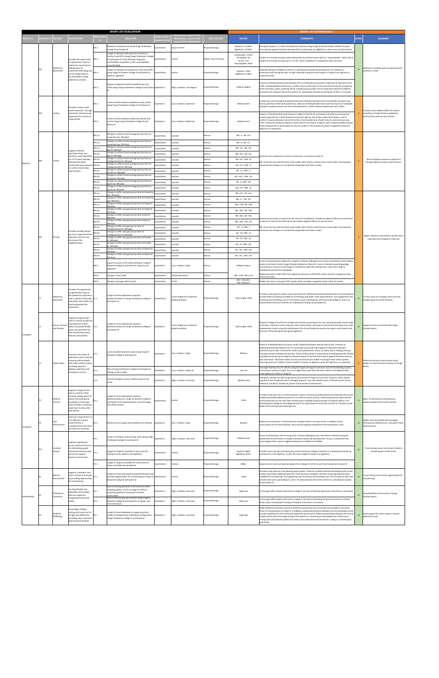|                 |                   |                                          |                                                                                          |                                              | <b>SHORT LIST EVALUATION</b>                                                                                                                           |                                     |                                                  |                         |                                                     | <b>SHORT LIST ALTERNATIVE 2</b>                                                                                                                                                                                                                                                                                             |              |                                                                                                    |  |
|-----------------|-------------------|------------------------------------------|------------------------------------------------------------------------------------------|----------------------------------------------|--------------------------------------------------------------------------------------------------------------------------------------------------------|-------------------------------------|--------------------------------------------------|-------------------------|-----------------------------------------------------|-----------------------------------------------------------------------------------------------------------------------------------------------------------------------------------------------------------------------------------------------------------------------------------------------------------------------------|--------------|----------------------------------------------------------------------------------------------------|--|
| <b>BJECTIVE</b> | <b>RITERIA ID</b> | <b>RITERIA</b>                           | <b>DESCRIPTION</b>                                                                       | <b>DICATO</b>                                | <b>INDICATOR</b>                                                                                                                                       | <b>UALTIATIVE</b>                   | NITS (FOR QUANTITATIV<br>MEASURES) / LEVELS (FOR | <b>DATA SOURCE</b>      | <b>METRIC</b>                                       | <b>COMMENTS</b>                                                                                                                                                                                                                                                                                                             | <b>SCORE</b> | <b>SUMMARY</b>                                                                                     |  |
|                 |                   |                                          |                                                                                          |                                              |                                                                                                                                                        | <b>QUANTITATIV</b>                  | <b>QUALITATIVE MEASURES</b>                      |                         |                                                     |                                                                                                                                                                                                                                                                                                                             |              |                                                                                                    |  |
|                 |                   |                                          |                                                                                          | M1.1                                         | edestrian clearway area along Yonge St between<br>College St and Queen St                                                                              | Quantitative                        | square metres                                    | Proposed Design         | Daytime: 11,128m <sup>2</sup><br>Nighttime: 9,478m2 | During the daytime, 11,128m <sup>2</sup> of pedestrian clearway along Yonge St which includes 3,650m <sup>2</sup> of space<br>rom daytime pedestrianisation between Elm St and Dundas Sq. Nighttime is same across all alternatives                                                                                         |              |                                                                                                    |  |
|                 |                   |                                          |                                                                                          | Length of sidewalk with peak hour Pedestrian |                                                                                                                                                        |                                     |                                                  | Comfortable: 1754m      |                                                     |                                                                                                                                                                                                                                                                                                                             |              |                                                                                                    |  |
|                 |                   |                                          | Provides the opportunity<br>to significantly improve                                     | M1.2                                         | Comfort Level (PCL) along Yonge St between College<br>St and Queen St in the following categories:<br>comfortable; acceptable; at risk; unacceptable / | Quantitative                        | netres                                           | DYBIA / City of Toronto | Acceptable: 0m<br>At risk: 72m                      | Dundas St to Dundas Sq (both sides) and Dundas Sq to Shuter (west side) are "unacceptable". (West side of<br>Jundas St to Dundas Sq improves to "at risk" when considered in combination with east side.)                                                                                                                   |              |                                                                                                    |  |
|                 | M1                | Pedestriar                               | pedestrian movement by<br>adding space for                                               |                                              | ncomfortable                                                                                                                                           |                                     |                                                  |                         | Unacceptable: 262m                                  |                                                                                                                                                                                                                                                                                                                             |              |                                                                                                    |  |
|                 |                   | Movement                                 | movement both along and<br>across Yonge Street to                                        | M1.3                                         | ength of sidewalk not adjacent to motorized traffic<br>along Yonge St between College St and Queen St:                                                 | Quantitative                        | metres                                           | Proposed Design         | Daytime: 374m                                       | idewalks between College St and Elm St, and between Dundas Sq and Queen St, are adjacent to<br>notorized traffic during the day. At night sidewalks along the entire length of Yonge St are adjacent to                                                                                                                     | ٠            | Addresses crowding and crossings at busiest<br>locations in 2031.                                  |  |
|                 |                   |                                          | accommodate rowing<br>pedestrian volumes.                                                |                                              | daytime, nighttime                                                                                                                                     |                                     |                                                  |                         | Nighttime: 1746m                                    | notorized traffic                                                                                                                                                                                                                                                                                                           |              |                                                                                                    |  |
|                 |                   |                                          |                                                                                          |                                              | Degree of separation between pedestrians and                                                                                                           |                                     |                                                  |                         |                                                     | Presence of pedestrianized areas between Elm St and Dundas Sq provides a high level of seperation from                                                                                                                                                                                                                      |              |                                                                                                    |  |
|                 |                   |                                          |                                                                                          | M1.4                                         | traffic along Yonge St between College St and Queen Qualitative                                                                                        |                                     | High / medium / low degree                       | Proposed Design         | Medium degree                                       | traffic. Outside pedestrianized areas, a buffer zone on both sides of the street (which may be occupied by<br>street amenities, patios, greening and/or loading bays) provides 3.5m of seperation between College St                                                                                                        |              |                                                                                                    |  |
|                 |                   |                                          |                                                                                          |                                              |                                                                                                                                                        |                                     |                                                  |                         |                                                     | and Gerrard St: between Gerrard St and Elm St, and between Dundas Sq and Queen St this is 2.7m wide.                                                                                                                                                                                                                        |              |                                                                                                    |  |
|                 |                   |                                          |                                                                                          |                                              | evel of conflict between pedestrians and cyclists                                                                                                      |                                     |                                                  |                         |                                                     | Cyclists may cycle through the pedestrianized area between between Elm St and Dundas Sq which may                                                                                                                                                                                                                           |              |                                                                                                    |  |
|                 |                   |                                          | covides a major north-                                                                   | M2.1                                         | along Yonge St between College St and Queen St.                                                                                                        | Qualitative                         | Low / medium / high level                        | Proposed Design         | Medium level                                        | ead to potential conflict with pedestrians. Absence of dedicated bike lanes and the presence of sidewalks<br>butside the pedestrianized area limits the potential for conflict between pedestrians and cyclists.                                                                                                            |              |                                                                                                    |  |
|                 | M <sub>2</sub>    | Cycling                                  | south connection through<br>lowntown and improved                                        |                                              |                                                                                                                                                        |                                     |                                                  |                         |                                                     | Absence of dedicated bike lanes between College St and Elm St, and between Dundas Sq and Queen St,                                                                                                                                                                                                                          |              | rovides some added comfort for cyclists<br>travelling on Yonge Street in pedestrian                |  |
|                 |                   |                                          | experience for cyclists on<br>Yonge Street.                                              |                                              | Level of conflict between motorised vehicles and                                                                                                       |                                     |                                                  |                         |                                                     | presents potential for conflict between motorised vehicles and cyclists within these blocks. Level of<br>conflict is lowered between Gerrard St to Elm St and Dundas Sq to Shuter St due to restricted one-way                                                                                                              |              | priority areas and one way sections.                                                               |  |
|                 |                   |                                          |                                                                                          | M2.2                                         | cyclists along Yonge St between College St and<br>Queen St                                                                                             | Qualitative                         | Low / medium / high level                        | Proposed Design         | Medium level                                        | traffic movement during the daytime. Improvement to cycling on Yonge St, due to daytime pedestrianized<br>blocks between Elm St and Dundas Sq. Level of conflict in these blocks increases at nighttime when the                                                                                                            |              |                                                                                                    |  |
|                 |                   |                                          |                                                                                          |                                              |                                                                                                                                                        |                                     |                                                  |                         |                                                     | ight bus is in operation                                                                                                                                                                                                                                                                                                    |              |                                                                                                    |  |
|                 |                   |                                          |                                                                                          | M3.1a                                        | Change in surface transit average journey time on<br>niversity Ave: AM peak                                                                            | Quantitative                        | seconds                                          | Aimsur                  | NB: -1 / SB: +74                                    |                                                                                                                                                                                                                                                                                                                             |              |                                                                                                    |  |
|                 |                   |                                          |                                                                                          | M3.1 <sub>b</sub>                            | Change in surface transit average journey time on<br><b>Jniversity Ave: PM Peak</b>                                                                    | Quantitative                        | econds                                           | Aimsun                  | NR: -3 / SR: +17                                    |                                                                                                                                                                                                                                                                                                                             |              |                                                                                                    |  |
|                 |                   |                                          | supports efficient                                                                       | M3.2a                                        | Change in surface transit average journey time on<br>Bay St: AM peak                                                                                   | Quantitative                        | econds                                           | Aimsun                  | NB: +16 / SB: +43                                   |                                                                                                                                                                                                                                                                                                                             |              |                                                                                                    |  |
|                 |                   |                                          | operation of bus and<br>streetcar routes identified                                      | M3.2 <sub>b</sub>                            | Change in surface transit average journey time on<br>Bay St: PM Peak                                                                                   | <b>Quantitative</b>                 | seconds                                          | Aimsun                  | NB: +56 / SB: +14                                   | treetcars face moderate increases in travel time, as do buses on Bay St.                                                                                                                                                                                                                                                    |              |                                                                                                    |  |
|                 | M <sub>3</sub>    | Transit                                  | by TTC to meet ridership<br>lemand and allows                                            | M3.3a                                        | Change in surface transit average journey time on<br>college/Carlton St: AM peak                                                                       | <b>Quantitative</b>                 | seconds                                          | Aimsun                  | EB: +26 / WB: +0                                    | VB: University Ave used the meso-scale model; other streets used the micro-scale model. Consequently,                                                                                                                                                                                                                       |              | Some mitigation measures required to<br>manage impacts on buses and streetcars.                    |  |
| Mobility        |                   |                                          | streetscape improvement<br>to surface transit stops                                      | M3.3b                                        | hange in surface transit average journey time on<br>ollege/Carlton St: PM Peak                                                                         | Quantitative                        | econds                                           | Aimsun                  | EB: +34 / WB: +2                                    | Iniversity Ave changes are not directly comparable with other streets.                                                                                                                                                                                                                                                      |              |                                                                                                    |  |
|                 |                   |                                          | and transfers                                                                            | M3.4a                                        | Change in surface transit average journey time on<br>Jundas St: AM peak                                                                                | Quantitative                        | econds                                           | Aimsun                  | EB: -11 / WB: +1                                    |                                                                                                                                                                                                                                                                                                                             |              |                                                                                                    |  |
|                 |                   |                                          |                                                                                          | M3.4b                                        | Change in surface transit average journey time on<br>Jundas St: PM Peak<br>Change in surface transit average journey time on                           | <b>Quantitative</b>                 | econds                                           | Aimsun                  | EB: +124 / WB: +13                                  |                                                                                                                                                                                                                                                                                                                             |              |                                                                                                    |  |
|                 |                   |                                          |                                                                                          | M3.5a                                        | ueen St: AM peak<br>Change in surface transit average journey time on                                                                                  | Quantitative                        | seconds                                          | Aimsun                  | EB: -2 / WB: +56                                    |                                                                                                                                                                                                                                                                                                                             |              |                                                                                                    |  |
|                 |                   |                                          |                                                                                          | M3.5b                                        | Queen St: PM Peak<br>Change in traffic average journey time on University                                                                              | Quantitative                        | seconds                                          | Aimsun                  | EB: +19 / WB: -15                                   |                                                                                                                                                                                                                                                                                                                             |              |                                                                                                    |  |
|                 |                   |                                          |                                                                                          | M4.1a<br>M4.1b                               | ve: AM peak<br>Change in traffic average journey time on University                                                                                    | <b>Quantitative</b><br>Quantitative | econds<br>econds                                 | Aimsur<br>Aimsun        | NB: +32 / SB: +34<br>NB: +7 / SB: +61               |                                                                                                                                                                                                                                                                                                                             |              |                                                                                                    |  |
|                 |                   |                                          |                                                                                          | M4.2a                                        | ve: PM Peak<br>Change in traffic average journey time on Yonge St:                                                                                     | Quantitative                        | econds                                           | Aimsun                  | NB: -278 / SB: -300                                 |                                                                                                                                                                                                                                                                                                                             |              |                                                                                                    |  |
|                 |                   |                                          |                                                                                          | M4.2b                                        | AM peak<br>Change in traffic average journey time on Yonge St:                                                                                         | <b>Quantitative</b>                 | seconds                                          | Aimsun                  | NB: -295 / SB: -303                                 |                                                                                                                                                                                                                                                                                                                             |              |                                                                                                    |  |
|                 |                   |                                          |                                                                                          | M4.3a                                        | PM Peak<br>Change in traffic average journey time on Bay St:                                                                                           | <b>Quantitative</b>                 | seconds                                          | Aimsun                  | NB: +68 / SB: +58                                   |                                                                                                                                                                                                                                                                                                                             |              |                                                                                                    |  |
|                 |                   |                                          |                                                                                          | M4.3 <sub>b</sub>                            | AM peak<br>Change in traffic average journey time on Bay St:                                                                                           | <b>Quantitative</b>                 | econds                                           | Aimsun                  | NB: +169 / SB: +24                                  | ubstantial increases in travel times for Church St southbound . Moderate negative effects on travel times<br>on Queen St. Overall, this Alternative has modest negative effects on journey times.                                                                                                                           |              |                                                                                                    |  |
|                 |                   |                                          |                                                                                          | M4.4a                                        | <b>PM Peak</b><br>Change in traffic average journey time on                                                                                            | Quantitative                        | econds                                           | Aimsun                  | EB: -3 / WB: -7                                     | NB: University Ave used the meso-scale model; other streets used the micro-scale model. Consequently,                                                                                                                                                                                                                       |              |                                                                                                    |  |
|                 |                   |                                          | Provides suitable vehicle                                                                | M4.4b                                        | College/Carlton St: AM peak<br>Change in traffic average journey time on                                                                               | Juantitative                        | econds                                           | Aimsun                  | EB: -10 / WB: -11                                   | Iniversity Ave changes are not directly comparable with other streets.                                                                                                                                                                                                                                                      |              |                                                                                                    |  |
|                 | M <sub>4</sub>    | Driving                                  | access to support busines<br>operation, tourism and<br>servicing of the<br>eighbourhood. | M4.5a                                        | College/Carlton St: PM Peak<br>Change in traffic average journey time on Dundas<br>t: AM peak                                                          | Quantitative                        | seconds                                          | Aimsun                  | EB: -51 / WB: -25                                   |                                                                                                                                                                                                                                                                                                                             |              | Higher impact to road network performance<br>requiring some mitigation measures.                   |  |
|                 |                   |                                          |                                                                                          | M4.5b                                        | Change in traffic average journey time on Dundas<br>it: PM Peak                                                                                        | <b>Quantitative</b>                 | seconds                                          | Aimsur                  | EB: -45 / WB: +19                                   |                                                                                                                                                                                                                                                                                                                             |              |                                                                                                    |  |
|                 |                   |                                          |                                                                                          | M4.6a                                        | Change in traffic average journey time on Queen St:<br>AM peak                                                                                         | luantitative                        | econds                                           | Aimsun                  | EB: +39 / WB: +36                                   |                                                                                                                                                                                                                                                                                                                             |              |                                                                                                    |  |
|                 |                   |                                          |                                                                                          | M4.6b                                        | Change in traffic average journey time on Queen St:<br>PM Peak                                                                                         | Quantitative                        | seconds                                          | Aimsun                  | EB: +26 / WB: +23                                   |                                                                                                                                                                                                                                                                                                                             |              |                                                                                                    |  |
|                 |                   |                                          |                                                                                          |                                              | mpact to access to off-street parking on Yonge St                                                                                                      |                                     |                                                  |                         |                                                     | Access to all parking lots adjacent to Yonge St retained, although access routes may become more indirect<br>Access to the Eaton Centre Yonge Parkade retained via Shuter St. Access to Dundas Sq parking garage                                                                                                            |              |                                                                                                    |  |
|                 |                   |                                          |                                                                                          | M4.7                                         | between College St and Queen St: daytime and<br>iehttime                                                                                               |                                     | Low / medium / high                              | Aimsun                  | Medium impact                                       | maintained via Victoria St and Yonge St northbound, while the existing entry route from Yonge St<br>outhbound will become unavailable.                                                                                                                                                                                      |              |                                                                                                    |  |
|                 |                   |                                          |                                                                                          | M4.8                                         | Change in total traffic                                                                                                                                | Quantitative                        | vehicle-kilometres                               | Aimsun                  | AM: -0.9%; PM:-4.7%                                 | Modest decrease in AM traffic and a signifcant decrease in PM traffic, likely caused by congestion levels                                                                                                                                                                                                                   |              |                                                                                                    |  |
|                 |                   |                                          |                                                                                          | M4.9                                         | Change in average vehicle speed                                                                                                                        | Quantitative                        | km/hr                                            | Aimsun                  | AM: -0.7km/hr;<br>PM:-0.6km/hr                      | within the model<br>Modest decrease in average traffic speeds, likely caused by congestion levels within the model.                                                                                                                                                                                                         |              |                                                                                                    |  |
|                 |                   |                                          |                                                                                          |                                              |                                                                                                                                                        |                                     |                                                  |                         |                                                     |                                                                                                                                                                                                                                                                                                                             |              |                                                                                                    |  |
|                 |                   |                                          |                                                                                          |                                              |                                                                                                                                                        |                                     |                                                  |                         |                                                     |                                                                                                                                                                                                                                                                                                                             |              |                                                                                                    |  |
|                 |                   |                                          | rovides the opportunity<br>to significantly improve                                      |                                              |                                                                                                                                                        |                                     |                                                  |                         |                                                     |                                                                                                                                                                                                                                                                                                                             |              |                                                                                                    |  |
|                 |                   | Pedestrian<br>Experience                 | the pedestrian experience<br>with a unified streetscape L1.1                             |                                              | ength of street dedicated to daytime.<br>pedestrianization on Yonge St between College St                                                              | Quantitative                        | Linear length (m) of daytime<br>edestrianizato   | Proposed Design         | Total Length: 250m                                  | Provides some space for public realm improvements. Pedestrianized blocks between Elm St and Dundas Sq<br>provide 250m of continuous length for streetscape and public realm improvements. This supplements the                                                                                                              |              | In a few areas of crowding, there won't be<br>enough space for street furniture.                   |  |
|                 |                   |                                          | and public realm while not<br>impacting pedestrian                                       |                                              | and Queen St                                                                                                                                           |                                     |                                                  |                         |                                                     | rnishing and marketing zone of 3.5m wide on each side between Gerrard St and College St, and 2.7m<br>wide between Gerrard St and Elm St, and between Dundas Sq and Queen St.                                                                                                                                                |              |                                                                                                    |  |
|                 |                   |                                          | novement.                                                                                |                                              |                                                                                                                                                        |                                     |                                                  |                         |                                                     |                                                                                                                                                                                                                                                                                                                             |              |                                                                                                    |  |
|                 |                   |                                          | supports Yonge Street's                                                                  |                                              |                                                                                                                                                        |                                     |                                                  |                         |                                                     |                                                                                                                                                                                                                                                                                                                             |              |                                                                                                    |  |
|                 |                   |                                          | role as cultural corridor by<br>mproving the streets                                     |                                              | Length of street dedicated to daytime                                                                                                                  |                                     |                                                  |                         |                                                     | Between College St and Elm St, and between Dundas Sq and Queen St, the road will generally remain open                                                                                                                                                                                                                      |              |                                                                                                    |  |
|                 |                   | <b>Fyents</b> , Festivals<br>and Parades | ability to provide flexible<br>space and operations for                                  | L2.1                                         | pedestrianization on Yonge St between College St<br>and Queen St                                                                                       | Qualitative                         | Linear length (m) of daytime<br>pedestrianizator | Proposed Design         | Total Length: 250m                                  | at all times, therefore events using the road in these blocks will require road closures and diversions to be<br>mplemented. Events using the road between Elm St and Dundas Sq would only require road closures and                                                                                                        | ٠            | Supports events associated with Yonge-<br>Dundas Square.                                           |  |
| Liveability     |                   |                                          | new and existing events,<br>festivals and parades.                                       |                                              |                                                                                                                                                        |                                     |                                                  |                         |                                                     | diversion if they take place during the nighttime.                                                                                                                                                                                                                                                                          |              |                                                                                                    |  |
|                 |                   |                                          |                                                                                          |                                              |                                                                                                                                                        |                                     |                                                  |                         |                                                     |                                                                                                                                                                                                                                                                                                                             |              |                                                                                                    |  |
|                 |                   |                                          |                                                                                          |                                              |                                                                                                                                                        |                                     |                                                  |                         |                                                     | Absence of dedicated bike lane poses conflict potential between vehicles and cyclists. Presence of<br>pedestrianized blocks between Elm St and Dundas Sq provides high degree of seperation between                                                                                                                         |              |                                                                                                    |  |
|                 |                   |                                          | Prioritizes the safety of                                                                | L3.1                                         | Level of conflict between modes along Yonge St                                                                                                         | Qualitative                         | Low / medium / high                              | Proposed Design         | Medium                                              | pedestrians and traffic. Potential for conflict with pedestrians remain on blocks with crowding and busy<br>crossings outside of pedestrianized area. Fewer conflict points at intersections (including between vehicles                                                                                                    |              |                                                                                                    |  |
|                 |                   |                                          | pedestrians and cyclists by                                                              |                                              | between College St and Queen St                                                                                                                        |                                     |                                                  |                         |                                                     | and pedestrians) during the daytime, between Queen St and Gerrard St due to pedestrianization and one-<br>way restrictions. Reduced number of lanes and minimal lane widths encourage lower vehicle speeds,                                                                                                                 |              |                                                                                                    |  |
|                 | L3                | <b>Public Safety</b>                     | reducing vehicle speeds<br>and mode conflicts and by                                     |                                              |                                                                                                                                                        |                                     |                                                  |                         |                                                     | educing severity of conflicts. Level of conflict increases at nighttime when the night bus is in operation.                                                                                                                                                                                                                 |              | Pedestrian priority zones protect active<br>modes on only the busiest sections of Yonge<br>Street. |  |
|                 |                   |                                          | providing space for<br>lighting, sight lines and                                         | L3.2                                         | Risk of Yonge St between College St and Queen St<br>feeling unsafe at night                                                                            | <b>Qualitative</b>                  | Low / medium / high risk                         | Proposed Design         | Low risk                                            | Overnight timed access for vehicles along full length of Yonge St minimizes risk of street feeling isolated<br>and lacking in activity at night. Access for night buses, taxis and ride share vehicles overnight provide                                                                                                    |              |                                                                                                    |  |
|                 |                   |                                          | mergency services.                                                                       |                                              |                                                                                                                                                        |                                     |                                                  |                         |                                                     | travel options for those on Yonge St.<br>Emergency vehicles are able to operate on all sections of Yonge St at any time. However, there may be                                                                                                                                                                              |              |                                                                                                    |  |
|                 |                   |                                          |                                                                                          | L3.3                                         | Ease of emergency service vehicle access to the<br>street                                                                                              | Qualitative                         | High / medium / low ease                         | Proposed Design         | Medium ease                                         | mpedence due to bollards used to manage temporal / one-way vehicle access at the Gerrard St, Elm St,<br>Edward St. Dundas St. Dundas Sg. Shuter St and Queen St intersections.                                                                                                                                              |              |                                                                                                    |  |
|                 |                   |                                          | support's Yonge Street's                                                                 |                                              |                                                                                                                                                        |                                     |                                                  |                         |                                                     |                                                                                                                                                                                                                                                                                                                             |              |                                                                                                    |  |
|                 |                   |                                          | role as a priority retail<br>street by adding space for                                  |                                              | ength of street dedicated to daytime.                                                                                                                  |                                     |                                                  |                         |                                                     | Provides some space for on-street economic activity. Presence of pedestrianized area between Elm St and                                                                                                                                                                                                                     |              |                                                                                                    |  |
|                 | <b>P1</b>         | Retail &<br>Tourism                      | patios and vending and<br>providing a streetscape                                        | P1.1                                         | pedestrianization on Yonge St between College St<br>and Queen St for potential patios, store frontages                                                 | Quantitative                        | metres                                           | Proposed Design         | 250m                                                | Dundas Sq provides additional space for on-street economic activity, maximising how this space and the<br>central boulevard can be used. More limited space available along remainder of Yonge St within 2.7m                                                                                                               |              | Space for permanent and temporary<br>patios/vending in the busiest sections.                       |  |
|                 |                   |                                          | which provides a pleasant<br>experience to shop, dine                                    |                                              | and street vendors                                                                                                                                     |                                     |                                                  |                         |                                                     | wide (between College St and College St) and 3.5m wide (between Gerrard St and Elm St / Dundas Sq and<br>Queen St) furnishing and marketing zone.                                                                                                                                                                           |              |                                                                                                    |  |
|                 |                   |                                          | and explore.                                                                             |                                              |                                                                                                                                                        |                                     |                                                  |                         |                                                     |                                                                                                                                                                                                                                                                                                                             |              |                                                                                                    |  |
|                 |                   |                                          | mproves Yonge Street in a<br>cost effective manner                                       |                                              |                                                                                                                                                        |                                     |                                                  |                         |                                                     |                                                                                                                                                                                                                                                                                                                             |              | Higher costs associated with managing                                                              |  |
|                 | P <sub>2</sub>    | Cost<br>Effectiveness                    | note that this is<br>onsidered from the Short                                            | P2.1                                         | Relative cost of supply and installation for bollards.                                                                                                 | Qualitative                         | Low / medium / high                              | Proposed Design         | Medium                                              | Bollards are required at 7 intersections to manage timed or one-way access. In addition to the<br>onstruction cost for these bollards, there will be ongoing management and maintenance costs.                                                                                                                              | ٠            | driving access (bollards etc.) and public realm<br>mprovements.                                    |  |
| Prosperity      |                   |                                          | List Selection onwards]                                                                  |                                              |                                                                                                                                                        |                                     |                                                  |                         |                                                     |                                                                                                                                                                                                                                                                                                                             |              |                                                                                                    |  |
|                 |                   |                                          |                                                                                          | P3.1                                         | Access to laneways and servicing areas along Yonge                                                                                                     | Qualitative                         | High / medium / low level                        | Proposed Design         | Medium level                                        | Access to all laneways and servicing areas retained, although access may become indirect during the<br>daytime due to restrictions on Yonge St between Dundas Sq and Edward St. Access is retained for the                                                                                                                  |              |                                                                                                    |  |
|                 |                   |                                          | supports appropriate                                                                     |                                              | St between College St and Queen St                                                                                                                     |                                     |                                                  |                         |                                                     | entire length of the street at nighttime between 12:00AM and 7:00AM.                                                                                                                                                                                                                                                        |              |                                                                                                    |  |
|                 | P <sub>3</sub>    | Curbside<br><b>Activity</b>              | access and level of service<br>for ride hailing, goods                                   |                                              |                                                                                                                                                        |                                     |                                                  |                         |                                                     |                                                                                                                                                                                                                                                                                                                             |              | Timed driving access restrictions limited to<br>Dundas Square to Elm Street                        |  |
|                 |                   |                                          | novement and municipal<br>services to support<br>ousiness and tourism.                   | P3.2                                         | ength of Yonge St accessible to taxis and ride<br>hailing services: daytime and nighttime                                                              | <b>Quantitative</b>                 | netres                                           | Proposed Design         | Daytime: 686m<br>Nighttime: 873m                    | rovides access for taxi and ride hailing services between College St and Elm St, and between Dundas Sq<br>and Queen St in the daytime; and for the entire length of Yonge St at nighttime.                                                                                                                                  |              |                                                                                                    |  |
|                 |                   |                                          |                                                                                          |                                              | ength of Yonge St available for construction of                                                                                                        |                                     |                                                  |                         |                                                     |                                                                                                                                                                                                                                                                                                                             |              |                                                                                                    |  |
|                 |                   |                                          |                                                                                          | P3.3                                         | laybys accessible during daytime                                                                                                                       | Quantitative                        | metres                                           | Proposed Design         | 686m                                                | Opportunity to construct daytime laybys from College St to Elm St, and from Dundas Sq to Queen St.                                                                                                                                                                                                                          |              |                                                                                                    |  |
|                 |                   |                                          | upports a healthier and                                                                  |                                              | Length of street with daytime pedestrianization that                                                                                                   |                                     |                                                  |                         |                                                     | rovides some space for tree planting opportunities. Presence of pedestrianized area between Elm St and<br>Dundas Sq provides additional space for street furniture and patios, thereby increasing potential space                                                                                                           |              |                                                                                                    |  |
|                 | <b>S1</b>         | Natural<br>Environment                   | nore resilient streetscape<br>by providing opportunities<br>for tree planting.           | S1.1                                         | provides opportunities for tree planting on Yonge St Quantitative<br>between College St and Queen St                                                   |                                     | metres                                           | Proposed Design         | 250m                                                | available for tree planting. This supplements the furnishing and marketing zone of 3.5m wide on each side<br>between Gerrard St and College St, and 2.7m wide between Gerrard St and Elm St, and between Dundas                                                                                                             | ٠            | In most blocks there will be opportunities for<br>tree planting.                                   |  |
|                 |                   |                                          |                                                                                          |                                              | Ease of altering operation in the future to reflect                                                                                                    |                                     |                                                  |                         |                                                     | Sq and Queen St.                                                                                                                                                                                                                                                                                                            |              |                                                                                                    |  |
|                 |                   |                                          | rovides flexible and<br>adaptable street design                                          | S2.1                                         | hanging pattern of use on Yonge St, without<br>equiring significant investment in further                                                              | Qualitative                         | High / medium / low ease                         | Proposed Design         | High ease                                           | As through traffic already restricted on Yonge St, the ease of altering operations in the future is increased                                                                                                                                                                                                               |              |                                                                                                    |  |
| Sustainability  | <b>S2</b>         | Flexibility &<br>Innovation              | that can respond to<br>changing demands and                                              |                                              | onstruction.<br>Ease of altering physical elements along Yonge St                                                                                      |                                     |                                                  |                         |                                                     |                                                                                                                                                                                                                                                                                                                             | ٠            | Good flexibility in the vicinity of Yonge-<br>Dundas Square.                                       |  |
|                 |                   |                                          | eeds.                                                                                    | S2.2                                         | etween College St and Queen St on regular and<br>short term basis                                                                                      | Qualitative                         | High / medium / low ease                         | Proposed Design         | High ease                                           | As through traffic already restricted on Yonge St, the ease of extending temporal restrictions to further<br>plocks and/or amending the timing of temporal restrictions is increased.                                                                                                                                       |              |                                                                                                    |  |
|                 |                   |                                          | incourages walking,                                                                      |                                              |                                                                                                                                                        |                                     |                                                  |                         |                                                     | Wider pedestrian clearway and more attractive streetscape may encourage more people to use active<br>forms of transportation on Yonge St. In addition, pedestrianized blocks between Elm St and Dundas Sq will                                                                                                              |              |                                                                                                    |  |
|                 | S <sub>3</sub>    | Health &<br>Wellbeing                    | cycling and transit use for<br>all ages and abilities by<br>providing safe, convenient   | S3.1                                         | Length of street dedicated to supporting active<br>modes of transportation (walking & cycling) along<br>Yonge St between College St and Queen St       | Qualitative                         | High / medium / low level                        | Proposed Design         | <b>High level</b>                                   | provide a significantly more attractive pedestrian environment. Pedestrianized blocks between Elm St and<br>Dundas Sq may also encourage cycling at low speeds in a shared space with pedestrians. Reduction in<br>driving lanes and reduced speeds will create a more attractive environment for cycling in a shared space |              | Good support for active modes in busiest<br>pedestrian areas.                                      |  |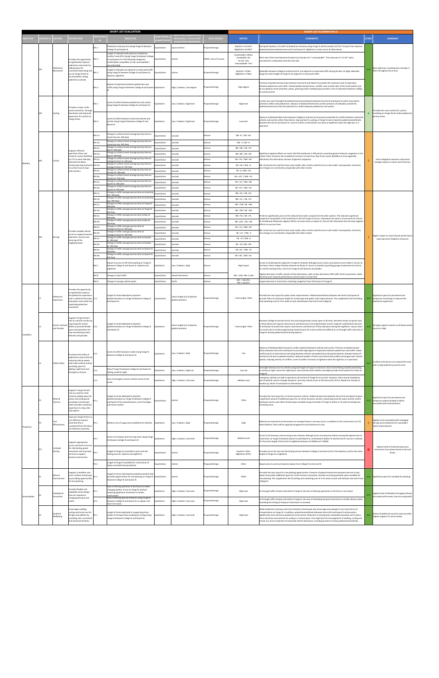|                 |                   |                            |                                                                                                       |                   | <b>SHORT LIST EVALUATION</b>                                                                                                                     |                                                                 |                                                          |                         |                                      | <b>SHORT LIST ALTERNATIVE 3</b>                                                                                                                                                                                                                      |              |                                                                                               |                                     |
|-----------------|-------------------|----------------------------|-------------------------------------------------------------------------------------------------------|-------------------|--------------------------------------------------------------------------------------------------------------------------------------------------|-----------------------------------------------------------------|----------------------------------------------------------|-------------------------|--------------------------------------|------------------------------------------------------------------------------------------------------------------------------------------------------------------------------------------------------------------------------------------------------|--------------|-----------------------------------------------------------------------------------------------|-------------------------------------|
|                 | <b>RITERIA ID</b> |                            |                                                                                                       | <b>NCATO</b>      |                                                                                                                                                  |                                                                 |                                                          | <b>DATA SOURCE</b>      |                                      |                                                                                                                                                                                                                                                      | <b>SCORE</b> |                                                                                               |                                     |
| <b>BJECTIVE</b> |                   | RITERIA                    | <b>ESCRIPTION</b>                                                                                     |                   | <b>INDICATOR</b>                                                                                                                                 | <b>UANTITAT</b>                                                 | <b>MEASURES) / LEVELS (F</b><br><b>QUALITATIVE MEASL</b> |                         | <b>METRIC</b>                        | <b>COMMENTS</b>                                                                                                                                                                                                                                      |              | <b>SUMMARY</b>                                                                                |                                     |
|                 |                   |                            |                                                                                                       | M1.1              | Pedestrian clearway area along Yonge St between                                                                                                  | Quantitative                                                    | square metres                                            | Proposed Design         | Daytime: 14,134m <sup>2</sup>        | During the daytime, 14,134m <sup>2</sup> of pedestrian clearway along Yonge St which includes 9,271m <sup>2</sup> of space from daytime                                                                                                              |              |                                                                                               |                                     |
|                 | M <sub>1</sub>    |                            |                                                                                                       |                   | College St and Queen St<br>Length of sidewalk with peak hour Pedestrian                                                                          |                                                                 |                                                          |                         | Nighttime: 9,478m <sup>2</sup>       | pedestrianisation between Gerrard St and Queen St. Nighttime is same across all alternatives.                                                                                                                                                        |              |                                                                                               |                                     |
|                 |                   |                            | Provides the opportunity                                                                              | M1.2              | Comfort Level (PCL) along Yonge St between College<br>St and Queen St in the following categories:                                               | Quantitative                                                    | metres                                                   | DYBIA / City of Toronto | Comfortable: 1944m<br>Acceptable: 0m | West side of the street between Dundas Sq to Dundas St is "unacceptable". This improves to "at risk" when                                                                                                                                            |              |                                                                                               |                                     |
|                 |                   |                            | to significantly improve<br>pedestrian movement by                                                    |                   | comfortable; acceptable; at risk; unacceptable /<br><i>comfortable</i>                                                                           |                                                                 |                                                          |                         | At risk: 72m<br>Unacceptable: 72m    | considered in combination with the east side.                                                                                                                                                                                                        |              |                                                                                               |                                     |
|                 |                   | Pedestrian<br>Movement     | adding space for                                                                                      |                   | Length of sidewalk not adjacent to motorized traffic                                                                                             |                                                                 |                                                          |                         |                                      |                                                                                                                                                                                                                                                      |              | Best addresses crowding and crossings in                                                      |                                     |
|                 |                   |                            | novement both along and<br>across Yonge Street to                                                     | M1.3              | along Yonge St between College St and Queen St:<br>daytime, nighttime                                                                            | Quantitative                                                    | metres                                                   | <b>Proposed Design</b>  | Daytime: 1278m<br>Nighttime: 1746m   | Sidewalks between College St and Gerrard St, are adjacent to motorized traffic during the day. At night sidewalks<br>along the entire length of Yonge St are adjacent to motorized traffic.                                                          |              | 2031 throughout focus area.                                                                   |                                     |
|                 |                   |                            | accommodate rowing<br>pedestrian volumes.                                                             |                   |                                                                                                                                                  |                                                                 |                                                          |                         |                                      |                                                                                                                                                                                                                                                      |              |                                                                                               |                                     |
|                 |                   |                            |                                                                                                       |                   | Degree of separation between pedestrians and                                                                                                     |                                                                 |                                                          |                         |                                      | Presence of pedestrianized areas between Gerrard St and Queen St provides the maximum level of seperation<br>between pedestrians and traffic. Outside pedestrianized areas, a buffer zone on both sides of the street (which may                     |              |                                                                                               |                                     |
|                 |                   |                            |                                                                                                       | M1.4              | traffic along Yonge St between College St and Queen Qualitative                                                                                  |                                                                 | High / medium / low degree                               | Proposed Design         | High degree                          | be occupied by street amenities, patios, greening and/or loading bays) provides 3.5m of seperation between College<br>St and Gerrard St.                                                                                                             |              |                                                                                               |                                     |
|                 |                   |                            |                                                                                                       |                   |                                                                                                                                                  |                                                                 |                                                          |                         |                                      |                                                                                                                                                                                                                                                      |              |                                                                                               |                                     |
|                 |                   |                            |                                                                                                       |                   | Level of conflict between pedestrians and cyclists                                                                                               |                                                                 |                                                          |                         |                                      | Cyclists may cycle through the pedestrianized area between between Gerrard St and Queen St which may lead to                                                                                                                                         |              |                                                                                               |                                     |
|                 |                   |                            | Provides a major north                                                                                | M2.1              | along Yonge St between College St and Queen St.                                                                                                  | Qualitative                                                     | Low / medium / high level                                | Proposed Design         | High level                           | potential conflict with pedestrians. Absence of dedicated bike lanes and the presence of sidewalks outside the<br>bedestrianized area limits the potential for conflict between pedestrians and cyclists.                                            |              |                                                                                               |                                     |
|                 | M <sub>2</sub>    | Cycling                    | south connection through<br>lowntown and improved                                                     |                   |                                                                                                                                                  |                                                                 |                                                          |                         |                                      |                                                                                                                                                                                                                                                      |              | Provides the most comfort for cyclists<br>travelling on Yonge Street within pedestrian        |                                     |
|                 |                   |                            | experience for cyclists on                                                                            |                   | Level of conflict between motorised vehicles and                                                                                                 |                                                                 |                                                          |                         |                                      | Absence of dedicated bike lanes between College St and Gerrard St presents potential for conflict between motorised                                                                                                                                  |              | priority areas.                                                                               |                                     |
|                 |                   |                            | Yonge Street.                                                                                         | M2.2              | cyclists along Yonge St between College St and                                                                                                   | Qualitative                                                     | Low / medium / high level                                | <b>Proposed Design</b>  | Low level                            | rehicles and cyclists within these blocks. Improvement to cycling on Yonge St, due to daytime pedestrianized blocks<br>between Gerrard St and Queen St. Level of conflict in these blocks increases at nighttime when the night bus is in            |              |                                                                                               |                                     |
|                 |                   |                            |                                                                                                       |                   | Queen St                                                                                                                                         |                                                                 |                                                          |                         |                                      | operation.                                                                                                                                                                                                                                           |              |                                                                                               |                                     |
|                 |                   |                            |                                                                                                       |                   | Change in surface transit average journey time on                                                                                                |                                                                 |                                                          |                         |                                      |                                                                                                                                                                                                                                                      |              |                                                                                               |                                     |
|                 |                   |                            |                                                                                                       | M3.1a             | Jniversity Ave: AM peak                                                                                                                          | Quantitative                                                    | seconds                                                  | Aimsun                  | NB: +0 / SB: +62                     |                                                                                                                                                                                                                                                      |              |                                                                                               |                                     |
|                 |                   |                            |                                                                                                       | M3.1 <sub>b</sub> | Change in surface transit average journey time on<br><b>Jniversity Ave: PM Peak</b>                                                              | Quantitative                                                    | seconds                                                  | Aimsun                  | NB: -3 / SB: +4                      |                                                                                                                                                                                                                                                      |              |                                                                                               |                                     |
|                 |                   |                            | Supports efficient                                                                                    | M3.2a             | Change in surface transit average journey time on<br>Bay St: AM peak                                                                             | Quantitative                                                    | econds                                                   | Aimsun                  | NB: +28 / SB: +79                    |                                                                                                                                                                                                                                                      |              |                                                                                               |                                     |
|                 |                   |                            | peration of bus and<br>streetcar routes identified                                                    | M3.2b             | Change in surface transit average journey time on<br>Bay St: PM Peak                                                                             | Quantitative                                                    | seconds                                                  | Aimsun                  | NB: +80 / SB: +38                    | Significant negative effects on routes 501/502 eastbound in PM period, caused by general network congestion in the<br>nodel. Other streetcars face moderate increases in travel time. Bay St bus routes (6A/6B) are most negatively                  |              |                                                                                               |                                     |
|                 | M <sub>3</sub>    | Transit                    | by TTC to meet ridership                                                                              | M3.3a             | Change in surface transit average journey time on<br>College/Carlton St: AM peak                                                                 | Quantitative                                                    | seconds                                                  | Aimsun                  | EB: +76 / WB: +44                    | affected by this alternative, because of general congestion.                                                                                                                                                                                         |              | Some mitigation measures required to                                                          |                                     |
| Mobility        |                   |                            | emand and allows<br>streetscape improvement                                                           | M3.3b             | Change in surface transit average journey time on<br>College/Carlton St: PM Peak                                                                 | Quantitative                                                    | seconds                                                  | Aimsun                  | EB: +46 / WB: +2                     | NB: University Ave used the meso-scale model; other streets used the micro-scale model. Consequently, University                                                                                                                                     |              | manage impacts on buses and streetcars.                                                       |                                     |
|                 |                   |                            | to surface transit stops<br>and transfers.                                                            | M3.4a             | Change in surface transit average journey time on                                                                                                | Quantitative                                                    | seconds                                                  | Aimsun                  | EB: -6 / WB: +18                     | We changes are not directly comparable with other streets.                                                                                                                                                                                           |              |                                                                                               |                                     |
|                 |                   |                            |                                                                                                       | M3.4b             | Dundas St: AM peak<br>Change in surface transit average journey time on                                                                          | Quantitative                                                    | econds                                                   | Aimsun                  | EB: +157 / WB: +74                   |                                                                                                                                                                                                                                                      |              |                                                                                               |                                     |
|                 |                   |                            |                                                                                                       | M3.5a             | Dundas St: PM Peak<br>Change in surface transit average journey time on                                                                          | Quantitative                                                    | seconds                                                  | Aimsun                  | FR: +13 / WR: +48                    |                                                                                                                                                                                                                                                      |              |                                                                                               |                                     |
|                 |                   |                            |                                                                                                       |                   | Queen St: AM peak<br>Change in surface transit average journey time on                                                                           |                                                                 |                                                          |                         |                                      |                                                                                                                                                                                                                                                      |              |                                                                                               |                                     |
|                 |                   |                            |                                                                                                       | M3.5b             | Queen St: PM Peak<br>Change in traffic average journey time on University                                                                        | Quantitative                                                    | seconds                                                  | Aimsun                  | EB: +53 / WB: +16                    |                                                                                                                                                                                                                                                      |              |                                                                                               |                                     |
|                 |                   |                            |                                                                                                       | M4.1a             | Ave: AM peak                                                                                                                                     | Quantitative                                                    | seconds                                                  | Aimsun                  | NB: +22 / SB: +54                    |                                                                                                                                                                                                                                                      |              |                                                                                               |                                     |
|                 |                   |                            |                                                                                                       | M4.1 <sub>b</sub> | Change in traffic average journey time on University<br>Ave: PM Peak                                                                             | Quantitative                                                    | seconds                                                  | Aimsun                  | NB: +13 / SB: +70                    |                                                                                                                                                                                                                                                      |              |                                                                                               |                                     |
|                 |                   |                            |                                                                                                       | M4.2a             | Change in traffic average journey time on Yonge St:<br>AM peal                                                                                   | Quantitative                                                    | econds                                                   | Aimsun                  | NB: -278 / SB: -300                  |                                                                                                                                                                                                                                                      |              |                                                                                               |                                     |
|                 |                   |                            |                                                                                                       | M4.2 <sub>b</sub> | Change in traffic average journey time on Yonge St:<br>PM Peak                                                                                   | Quantitative                                                    | econds                                                   | Aimsun                  | NB: -295 / SB: -303                  |                                                                                                                                                                                                                                                      |              |                                                                                               |                                     |
|                 |                   |                            |                                                                                                       | M4.3a             | Change in traffic average journey time on Bay St:                                                                                                | Quantitative                                                    | seconds                                                  | Aimsun                  | NB: +76 / SB: +76                    | Performs significantly worse at the network level when compared to the other options. This indicates significant                                                                                                                                     |              |                                                                                               |                                     |
|                 |                   |                            |                                                                                                       | M4.3b             | AM peak<br>Change in traffic average journey time on Bay St:                                                                                     | Quantitative                                                    | seconds                                                  | Aimsun                  | NB: +252 / SB: +28                   | ongestion and gridlock in the model due to the full Yonge St closure. Substantial increases in travel times for Church<br>St southbound. Moderate negative effects on travel times on Queen St. Overall, this alternative has the most negative      |              |                                                                                               |                                     |
|                 |                   |                            |                                                                                                       | M4.4a             | PM Peak<br>Change in traffic average journey time on                                                                                             |                                                                 |                                                          | Aimsun                  |                                      | ffects on journey times.                                                                                                                                                                                                                             |              |                                                                                               |                                     |
|                 | M4                | Driving                    | Provides suitable vehicle<br>access to support business<br>operation, tourism and<br>servicing of the |                   | College/Carlton St: AM peak<br>Change in traffic average journey time on                                                                         | Quantitative                                                    | seconds                                                  |                         | EB: +13 / WB: +20                    | VB: University Ave used the meso-scale model; other streets used the micro-scale model. Consequently, University                                                                                                                                     |              |                                                                                               |                                     |
|                 |                   |                            |                                                                                                       | <b>M4.4b</b>      | College/Carlton St: PM Peal                                                                                                                      | Quantitative                                                    | econds                                                   | Aimsun                  | EB: +21 / WB: -4                     | Ave changes are not directly comparable with other streets.                                                                                                                                                                                          |              | Higher impact to road network performance                                                     |                                     |
|                 |                   |                            |                                                                                                       |                   | M4.5a                                                                                                                                            | Change in traffic average journey time on Dundas<br>St: AM peak | Quantitative                                             | seconds                 | Aimsun                               | EB: -47 / WB: -6                                                                                                                                                                                                                                     |              |                                                                                               | requiring some mitigation measures. |
|                 |                   |                            | eighbourhood.                                                                                         | M4.5b             | Change in traffic average journey time on Dundas<br>St: PM Peak                                                                                  | Quantitative                                                    | seconds                                                  | Aimsun                  | EB: -19 / WB: +99                    |                                                                                                                                                                                                                                                      |              |                                                                                               |                                     |
|                 |                   |                            |                                                                                                       | M4.6a             | Change in traffic average journey time on Queen St<br>AM peak                                                                                    | <b>Quantitative</b>                                             | econds                                                   | Aimsun                  | EB: +32 / WB: -35                    |                                                                                                                                                                                                                                                      |              |                                                                                               |                                     |
|                 |                   |                            |                                                                                                       | M4.6b             | Change in traffic average journey time on Queen St:                                                                                              | Quantitative                                                    | seconds                                                  | Aimsun                  | EB: +46 / WB: +52                    |                                                                                                                                                                                                                                                      |              |                                                                                               |                                     |
|                 |                   |                            |                                                                                                       |                   | PM Peak                                                                                                                                          |                                                                 |                                                          |                         |                                      |                                                                                                                                                                                                                                                      |              |                                                                                               |                                     |
|                 |                   |                            |                                                                                                       | M4.7              | moact to access to off-street parking on Yonge St<br>between College St and Queen St: daytime and                                                | Qualitative                                                     | Low / medium / high                                      | Aimsun                  | <b>High impact</b>                   | Access to all parking lots adjacent to Yonge St retained, although access routes may become more indirect. Access to<br>the Eaton Centre Yonge Parkade retained via Shuter St. Access to Dundas Sq parking garage maintained via Victoria            |              |                                                                                               |                                     |
|                 |                   |                            |                                                                                                       |                   | nighttime                                                                                                                                        |                                                                 |                                                          |                         |                                      | St, and the existing entry route from Yonge St will become unavailable.                                                                                                                                                                              |              |                                                                                               |                                     |
|                 |                   |                            |                                                                                                       | M4.8              | Change in total traffic                                                                                                                          | Quantitative                                                    | vehicle-kilometres                                       | Aimsun                  | AM: -4.0%; PM:-11.8%                 | Highest decrease in traffic volumes of the alternatives, with a major decrease in PM traffic levels in particular. Likely<br>driven by poor network performance and increases in travel time                                                         |              |                                                                                               |                                     |
|                 |                   |                            |                                                                                                       | M4.9              | Change in average vehicle speed                                                                                                                  | Quantitative                                                    | km/hr                                                    | Aimsun                  | AM: -1.2km/hr;<br>PM:-1.1km/h        | argest decrease in travel time, indicating congestion from full closure of Yonge St                                                                                                                                                                  |              |                                                                                               |                                     |
|                 |                   |                            |                                                                                                       |                   |                                                                                                                                                  |                                                                 |                                                          |                         |                                      |                                                                                                                                                                                                                                                      |              |                                                                                               |                                     |
|                 |                   |                            |                                                                                                       |                   |                                                                                                                                                  |                                                                 |                                                          |                         |                                      |                                                                                                                                                                                                                                                      |              |                                                                                               |                                     |
|                 |                   |                            | rovides the opportunity                                                                               |                   |                                                                                                                                                  |                                                                 |                                                          |                         |                                      |                                                                                                                                                                                                                                                      |              |                                                                                               |                                     |
|                 |                   | Pedestrian                 | to significantly improve<br>the pedestrian experience                                                 |                   | Length of street dedicated to daytime                                                                                                            |                                                                 |                                                          |                         |                                      | Provides the most space for public realm improvements. Pedestrianized blocks between Gerrard St and Queen St                                                                                                                                         |              | Significant space for permanent and                                                           |                                     |
|                 |                   | Experience                 | with a unified streetscape<br>and public realm while not                                              | L1.1              | pedestrianization on Yonge St between College St<br>and Queen St                                                                                 | Quantitative                                                    | Linear length (m) of daytime<br>pedestrianizaton         | Proposed Design         | Total Length: 750m                   | provide 750m of continuous length for streetscape and public realm improvements. This supplements the furnishing<br>and marketing zone of 3.5m wide on each side between Gerrard St and College St.                                                  |              | temporary furnishings to improve the<br>pedestrian experience.                                |                                     |
|                 |                   |                            | impacting pedestrian                                                                                  |                   |                                                                                                                                                  |                                                                 |                                                          |                         |                                      |                                                                                                                                                                                                                                                      |              |                                                                                               |                                     |
|                 |                   |                            | movement.                                                                                             |                   |                                                                                                                                                  |                                                                 |                                                          |                         |                                      |                                                                                                                                                                                                                                                      |              |                                                                                               |                                     |
|                 |                   |                            |                                                                                                       |                   |                                                                                                                                                  |                                                                 |                                                          |                         |                                      |                                                                                                                                                                                                                                                      |              |                                                                                               |                                     |
|                 |                   |                            | Supports Yonge Street's<br>role as cultural corridor by                                               |                   |                                                                                                                                                  |                                                                 |                                                          |                         |                                      | Between College St and Gerrard St, the road will generally remain open at all times, therefore events using the road                                                                                                                                 |              |                                                                                               |                                     |
|                 |                   | Events, Festivals          | improving the streets<br>ability to provide flexible                                                  | L2.1              | Length of street dedicated to daytime<br>pedestrianization on Yonge St between College St                                                        | Qualitative                                                     | Linear length (m) of daytime                             | Proposed Design         | Total Length: 750m                   | in these blocks will require road closures and diversions to be implemented. Events using the road between Gerrard<br>St and Queen St would only require road closures and diversion if they take place during the nighttime. Layout caters          |              | Strongly supports events on all blocks where                                                  |                                     |
|                 |                   | and Parades                | space and operations for                                                                              |                   | and Queen St                                                                                                                                     |                                                                 | pedestrianizaton                                         |                         |                                      | for events and on-street programming. Road closures for events will be less difficult as no through traffic and most of                                                                                                                              |              | tourism is high.                                                                              |                                     |
| Liveability     |                   |                            | new and existing events,<br>festivals and parades.                                                    |                   |                                                                                                                                                  |                                                                 |                                                          |                         |                                      | Yonge St already pedestrianized during daytime.                                                                                                                                                                                                      |              |                                                                                               |                                     |
|                 |                   |                            |                                                                                                       |                   |                                                                                                                                                  |                                                                 |                                                          |                         |                                      |                                                                                                                                                                                                                                                      |              |                                                                                               |                                     |
|                 |                   |                            |                                                                                                       |                   |                                                                                                                                                  |                                                                 |                                                          |                         |                                      |                                                                                                                                                                                                                                                      |              |                                                                                               |                                     |
|                 |                   |                            |                                                                                                       |                   |                                                                                                                                                  |                                                                 |                                                          |                         |                                      | Absence of dedicated bike lane poses conflict potential between vehicles and cyclists. Presence of pedestrianized<br>blocks between Gerrard St and Queen St provides high degree of seperation between pedestrians and traffic. Fewer                |              |                                                                                               |                                     |
|                 |                   |                            | Prioritizes the safety of                                                                             | 3.1               | Level of conflict between modes along Yonge St<br>between College St and Queen St                                                                | Qualitative                                                     | Low / medium / high                                      | <b>Proposed Design</b>  | Low                                  | conflict points at intersections (including between vehicles and pedestrians) during the daytime, between Queen St<br>and Gerrard St due to pedestrianization. Reduced number of lanes and minimal lane widths encourage lower vehicle               |              |                                                                                               |                                     |
|                 |                   |                            | pedestrians and cyclists by<br>reducing vehicle speeds                                                |                   |                                                                                                                                                  |                                                                 |                                                          |                         |                                      | speeds, reducing severity of conflicts. Level of conflict increases at nighttime when the night bus is in operation.                                                                                                                                 |              | Conflicts with drivers are reduced the most                                                   |                                     |
|                 |                   | <b>Public Safety</b>       | and mode conflicts and by<br>providing space for                                                      |                   |                                                                                                                                                  |                                                                 |                                                          |                         |                                      |                                                                                                                                                                                                                                                      |              | with a large pedestrian priority zone.                                                        |                                     |
|                 |                   |                            | lighting, sight lines and<br>mergency services.                                                       | L3.2              | Risk of Yonge St between College St and Queen St<br>feeling unsafe at night                                                                      | Qualitative                                                     | Low / medium / high risk                                 | Proposed Design         | Low risk                             | Overnight timed access for vehicles along full length of Yonge St minimizes risk of street feeling isolated and lacking<br>in activity at night. Access for night buses, taxis and ride share vehicles overnight provide travel options for those on |              |                                                                                               |                                     |
|                 |                   |                            |                                                                                                       |                   |                                                                                                                                                  |                                                                 |                                                          |                         |                                      | Yonge St.<br>Emergency vehicles are able to operate on all sections of Yonge St at any time. However, there may be impedence                                                                                                                         |              |                                                                                               |                                     |
|                 |                   |                            |                                                                                                       | L3.3              | Ease of emergency service vehicle access to the<br>street                                                                                        | Qualitative                                                     | High / medium / low ease                                 | <b>Proposed Design</b>  | Medium ease                          | due to bollards used to manage temporal / one-way vehicle access at the Gerrard St, Elm St, Edward St, Dundas St,                                                                                                                                    |              |                                                                                               |                                     |
|                 |                   |                            |                                                                                                       |                   |                                                                                                                                                  |                                                                 |                                                          |                         |                                      | Dundas Sq, Shuter St and Queen St intersections.                                                                                                                                                                                                     |              |                                                                                               |                                     |
|                 |                   |                            | Support's Yonge Street's<br>role as a priority retail                                                 |                   |                                                                                                                                                  |                                                                 |                                                          |                         |                                      |                                                                                                                                                                                                                                                      |              |                                                                                               |                                     |
|                 |                   |                            | street by adding space for                                                                            |                   | ength of street dedicated to daytime.                                                                                                            |                                                                 |                                                          |                         |                                      | rovides the most space for on-street economic activity. Pedestrianized area between Gerrard St and Queen St gives                                                                                                                                    |              | Significant space for permanent and                                                           |                                     |
|                 |                   | Retail &<br>Tourism        | patios and vending and<br>providing a streetscape                                                     | P1.1              | pedestrianization on Yonge St between College St<br>and Queen St for potential patios, store frontages                                           | Quantitative                                                    | metres                                                   | Proposed Design         | 750m                                 | a significant amount of additional space for on-street economic activity, maximising how this space and the central<br>boulevard can be used. More limited space available along remainder of Yonge St within 2.7m wide furnishing and               |              | temporary patios/vending in blocks                                                            |                                     |
|                 |                   |                            | which provides a pleasant                                                                             |                   | and street vendors                                                                                                                               |                                                                 |                                                          |                         |                                      | marketing zone.                                                                                                                                                                                                                                      |              | associated with entertainment.                                                                |                                     |
|                 |                   |                            | experience to shop, dine<br>and explore.                                                              |                   |                                                                                                                                                  |                                                                 |                                                          |                         |                                      |                                                                                                                                                                                                                                                      |              |                                                                                               |                                     |
|                 |                   |                            | mproves Yonge Street in a                                                                             |                   |                                                                                                                                                  |                                                                 |                                                          |                         |                                      |                                                                                                                                                                                                                                                      |              |                                                                                               |                                     |
|                 |                   | Cost                       | cost effective manner                                                                                 |                   |                                                                                                                                                  |                                                                 |                                                          |                         |                                      | Bollards are required at 8 intersections to manage timed or one-way access. In addition to the construction cost for                                                                                                                                 |              | Highest costs associated with managing                                                        |                                     |
| Prosperity      | P <sub>2</sub>    | Effectiveness              | Inote that this is<br>onsidered from the Short                                                        | P2.1              | Relative cost of supply and installation for bollards. Qualitative                                                                               |                                                                 | Low / medium / high                                      | Proposed Design         | High                                 | these bollards, there will be ongoing management and maintenance costs.                                                                                                                                                                              |              | driving access (bollards etc.) and public<br>ealm improvements.                               |                                     |
|                 |                   |                            | <b>List Selection onwardsl</b>                                                                        |                   |                                                                                                                                                  |                                                                 |                                                          |                         |                                      |                                                                                                                                                                                                                                                      |              |                                                                                               |                                     |
|                 |                   |                            |                                                                                                       |                   |                                                                                                                                                  |                                                                 |                                                          |                         |                                      | Access to all laneways and servicing areas retained, although access may become indirect during the daytime due to                                                                                                                                   |              |                                                                                               |                                     |
|                 |                   |                            |                                                                                                       | P3.1              | Access to laneways and servicing areas along Yonge<br>St between College St and Queen St                                                         | Qualitative                                                     | High / medium / low level                                | Proposed Design         | Medium level                         | restrictions on Yonge St between Queen St and Edward St, and between Walton St and Gerrard St. Access is retained<br>for the entire length of the street at nighttime between 12:00AM and 7:00AM.                                                    |              |                                                                                               |                                     |
|                 |                   |                            | upports appropriate<br>access and level of service                                                    |                   |                                                                                                                                                  |                                                                 |                                                          |                         |                                      |                                                                                                                                                                                                                                                      |              |                                                                                               |                                     |
|                 | P <sub>3</sub>    | Curbside<br>Activity       | for ride hailing, goods<br>movement and municipal                                                     |                   | ength of Yonge St accessible to taxis and ride                                                                                                   |                                                                 |                                                          |                         | Davtime: 234m                        |                                                                                                                                                                                                                                                      |              | Highest level of timed driving access<br>restrictions from Queen Street to Gerrard            |                                     |
|                 |                   |                            | services to support<br>business and tourism.                                                          | P3.2              | nailing services: daytime and nighttime                                                                                                          | Quantitative                                                    | metres                                                   | <b>Proposed Design</b>  | Nighttime: 873m                      | Provides access for taxi and ride hailing services between College St and Gerrard St in the daytime; and for the entire<br>ength of Yonge St at nighttime                                                                                            |              | Street                                                                                        |                                     |
|                 |                   |                            |                                                                                                       |                   |                                                                                                                                                  |                                                                 |                                                          |                         |                                      |                                                                                                                                                                                                                                                      |              |                                                                                               |                                     |
|                 |                   |                            |                                                                                                       | P3.3              | ength of Yonge St available for construction of<br>aybys accessible during daytime                                                               | Quantitative                                                    | netres                                                   | Proposed Design         | 234m                                 | Opportunity to construct daytime laybys from College St to Gerrard St.                                                                                                                                                                               |              |                                                                                               |                                     |
|                 |                   |                            |                                                                                                       |                   |                                                                                                                                                  |                                                                 |                                                          |                         |                                      |                                                                                                                                                                                                                                                      |              |                                                                                               |                                     |
|                 |                   | Natural                    | Supports a healthier and<br>more resilient streetscape                                                | S1.1              | Length of street with daytime pedestrianization that<br>provides opportunities for tree planting on Yonge St Quantitative                        |                                                                 | netres                                                   | Proposed Design         | 639m                                 | rovides the most space for tree planting opportunities. Presence of pedestrianized area between Gerrard St and<br>Queen St provides additional space for street furniture and patios, thereby increasing potential space available for               |              | Significant space for available for planting.                                                 |                                     |
|                 |                   | invironment                | by providing opportunities<br>for tree planting.                                                      |                   | between College St and Queen St                                                                                                                  |                                                                 |                                                          |                         |                                      | tree planting. This supplements the furnishing and marketing zone of 3.5m wide on each side between Gerrard St and<br>College St.                                                                                                                    |              |                                                                                               |                                     |
|                 |                   |                            |                                                                                                       |                   | Ease of altering operation in the future to reflect                                                                                              |                                                                 |                                                          |                         |                                      |                                                                                                                                                                                                                                                      |              |                                                                                               |                                     |
|                 |                   |                            | rovides flexible and<br>adaptable street design                                                       | S2.1              | changing pattern of use on Yonge St, without                                                                                                     | Qualitative                                                     | High / medium / low ease                                 | roposed Design          | High ease                            | As through traffic already restricted on Yonge St, the ease of altering operations in the future is increased.                                                                                                                                       |              |                                                                                               |                                     |
| Sustainability  |                   | Flexibility &<br>nnovation | that can respond to                                                                                   |                   | equiring significant investment in further<br>construction.                                                                                      |                                                                 |                                                          |                         |                                      |                                                                                                                                                                                                                                                      |              | Highest level of flexibility throughout blocks<br>associated with events, tourism and growth. |                                     |
|                 |                   |                            | changing demands and<br>eeds.                                                                         | S <sub>2.2</sub>  | Ease of altering physical elements along Yonge St<br>between College St and Queen St on regular and                                              | Qualitative                                                     | High / medium / low ease                                 | roposed Design          | High ease                            | As through traffic already restricted on Yonge St, the ease of extending temporal restrictions to further blocks and/or                                                                                                                              |              |                                                                                               |                                     |
|                 |                   |                            |                                                                                                       |                   | short term basis                                                                                                                                 |                                                                 |                                                          |                         |                                      | mending the timing of temporal restrictions is increased.                                                                                                                                                                                            |              |                                                                                               |                                     |
|                 |                   |                            | ncourages walking,<br>cycling and transit use for                                                     |                   |                                                                                                                                                  |                                                                 |                                                          |                         |                                      | Wider pedestrian clearway and more attractive streetscape may encourage more people to use active forms of<br>transportation on Yonge St. In addition, pedestrianized blocks between Gerrard St and Queen St will provide a                          |              |                                                                                               |                                     |
|                 |                   | Health &<br>Wellbeing      | all ages and abilities by<br>providing safe, convenient                                               | S3.1              | Length of street dedicated to supporting active<br>modes of transportation (walking & cycling) along<br>Yonge St between College St and Queen St | Qualitative                                                     | High / medium / low level                                | Proposed Design         | High level                           | significantly more attractive pedestrian environment. Reduction in driving lanes and pedestrianization will create a<br>more attractive environment for cycling in a shared space. Very high level of encouragement of walking, cycling and          |              | Extent of pedestrian priority zones provides<br>highest support for active modes.             |                                     |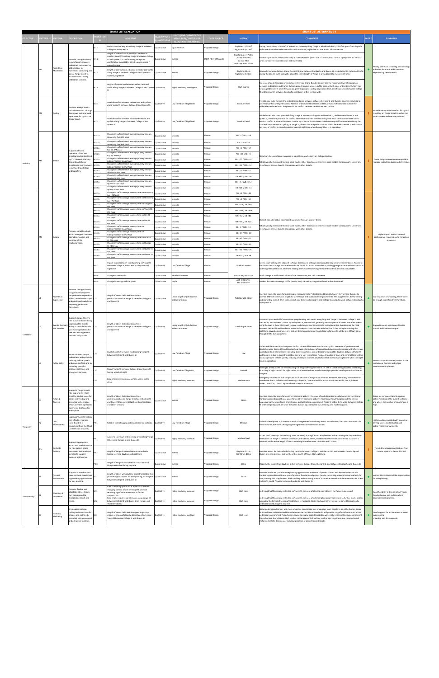|                 |                |                  |                                  |                                                                                                                                                                                                                 |                            | <b>SHORT LIST EVALUATION</b>                                                                                                                                                                           |                              |                                                  |                             |                                                                 | <b>SHORT LIST ALTERNATIVE 4</b>                                                                                                                                                                                                                                                                                                                                                                                                                                                                                                                                                                                                        |              |                                                                                                                                |
|-----------------|----------------|------------------|----------------------------------|-----------------------------------------------------------------------------------------------------------------------------------------------------------------------------------------------------------------|----------------------------|--------------------------------------------------------------------------------------------------------------------------------------------------------------------------------------------------------|------------------------------|--------------------------------------------------|-----------------------------|-----------------------------------------------------------------|----------------------------------------------------------------------------------------------------------------------------------------------------------------------------------------------------------------------------------------------------------------------------------------------------------------------------------------------------------------------------------------------------------------------------------------------------------------------------------------------------------------------------------------------------------------------------------------------------------------------------------------|--------------|--------------------------------------------------------------------------------------------------------------------------------|
| <b>BJECTIVE</b> |                | <b>ITERIA ID</b> | RITERIA                          | <b>ESCRIPTION</b>                                                                                                                                                                                               | <b>DICATC</b>              | <b>NDICATOR</b>                                                                                                                                                                                        | <b>UALTIATIVE</b>            | NITS (FOR QUANTITATIVI                           | <b>DATA SOURCE</b>          | <b>METRIC</b>                                                   | <b>COMMENTS</b>                                                                                                                                                                                                                                                                                                                                                                                                                                                                                                                                                                                                                        | <b>SCORE</b> | <b>SUMMARY</b>                                                                                                                 |
|                 |                |                  |                                  |                                                                                                                                                                                                                 |                            |                                                                                                                                                                                                        |                              | MEASURES) / LEVELS (FOI<br>QUALITATIVE MEASURES  |                             |                                                                 |                                                                                                                                                                                                                                                                                                                                                                                                                                                                                                                                                                                                                                        |              |                                                                                                                                |
|                 |                |                  |                                  |                                                                                                                                                                                                                 | M1.1                       | Pedestrian clearway area along Yonge St between<br><b>College St and Queen St</b>                                                                                                                      | Quantitative                 | square metres                                    | Proposed Design             | Daytime: 12.058m <sup>2</sup><br>Nighttime: 9,478m <sup>2</sup> | During the daytime, 12,058m <sup>2</sup> of pedestrian clearway along Yonge St which includes 5,078m <sup>2</sup> of space from daytime<br>pedestrianisation between Gerrard St and Dundas Sq. Nighttime is same across all alternatives.                                                                                                                                                                                                                                                                                                                                                                                              |              |                                                                                                                                |
|                 |                |                  |                                  | rovides the opportunity<br>to significantly improve                                                                                                                                                             | M1.2                       | Length of sidewalk with peak hour Pedestrian<br>Comfort Level (PCL) along Yonge St between College<br>St and Queen St in the following categories:<br>comfortable; acceptable; at risk; unacceptable / | Quantitative                 | metres                                           | DYBIA / City of Toronto     | Comfortable: 1754m<br>Acceptable: 0m<br>At risk: 72m            | Dundas Sq to Shuter Street (west side) is "Unacceptable" (West side of Dundas St to Dundas Sq improves to "at risk"<br>when considered in combination with east side).                                                                                                                                                                                                                                                                                                                                                                                                                                                                 |              |                                                                                                                                |
|                 |                |                  | Pedestrian                       | edestrian movement by<br>adding space for                                                                                                                                                                       |                            | comfortable                                                                                                                                                                                            |                              |                                                  |                             | Unacceptable: 262m                                              |                                                                                                                                                                                                                                                                                                                                                                                                                                                                                                                                                                                                                                        |              | Mostly addresses crowding and crossings                                                                                        |
|                 | M1             |                  | Movement                         | novement both along and<br>across Yonge Street to<br>ccommodate rowing                                                                                                                                          | M1.3                       | Length of sidewalk not adiacent to motorized traffic<br>along Yonge St between College St and Queen St:<br>daytime, nighttime                                                                          | Quantitative                 | metres                                           | Proposed Design             | Daytime: 604m<br>Nighttime: 1746m                               | Sidewalks between College St and Gerrard St, and between Dundas Sq and Queen St, are adjacent to motorized traffic<br>during the day. At night sidewalks along the entire length of Yonge St are adjacent to motorized traffic.                                                                                                                                                                                                                                                                                                                                                                                                        |              | at busiest locations and in sections<br>experiencing development.                                                              |
|                 |                |                  |                                  | pedestrian volumes.                                                                                                                                                                                             | M1.4                       | Degree of separation between pedestrians and<br>traffic along Yonge St between College St and Queen Qualitative                                                                                        |                              | High / medium / low degree                       | Proposed Design             | High degree                                                     | Presence of pedestrianized areas between Gerrard St and Dundas Sq provides the maximum level of seperation<br>between pedestrians and traffic. Outside pedestrianized areas, a buffer zone on both sides of the street (which may<br>be occupied by street amenities, patios, greening and/or loading bays) provides 3.5m of seperation between College<br>St and Gerrard St; between Dundas Sq and Queen St this is 2.7m wide.                                                                                                                                                                                                        |              |                                                                                                                                |
|                 |                |                  |                                  | rovides a major north-<br>south connection througl                                                                                                                                                              | M2.1                       | Level of conflict between pedestrians and cyclists<br>along Yonge St between College St and Queen St.                                                                                                  | Qualitative                  | Low / medium / high level                        | Proposed Design             | Medium level                                                    | Cyclists may cycle through the pedestrianized area between between Gerrard St and Dundas Sq which may lead to<br>potential conflict with pedestrians. Absence of dedicated bike lanes and the presence of sidewalks outside the<br>pedestrianized area limits the potential for conflict between pedestrians and cyclists.                                                                                                                                                                                                                                                                                                             |              | rovides some added comfort for cyclists                                                                                        |
|                 | M <sub>2</sub> |                  | <b>Cycling</b>                   | owntown and improved<br>experience for cyclists on<br>Yonge Street.                                                                                                                                             | M2.2                       | evel of conflict between motorised vehicles and<br>cyclists along Yonge St between College St and<br>Queen St                                                                                          | Qualitative                  | Low / medium / high level                        | Proposed Design             | Medium level                                                    | No dedicated bike lanes provided along Yonge St between College St and Gerrard St, and between Shuter St and<br>Queen St, therefore potential for conflict between motorised vehicles and cyclists at all times within these blocks.<br>Level of conflict is lowered between Dundas Sq to Shuter St due to restricted one-way traffic movement during the<br>daytime. Improvement to cycling on Yonge St, due to daytime pedestrianized blocks between Gerrard St and Dundas<br>Sq. Level of conflict in these blocks increases at nighttime when the night bus is in operation.                                                       |              | travelling on Yonge Street in pedestrian<br>priority areas and one way sections.                                               |
|                 |                |                  |                                  |                                                                                                                                                                                                                 | M3.1a                      | Change in surface transit average journey time on<br>University Ave: AM peak                                                                                                                           | Quantitative                 | seconds                                          | Aimsun                      | NB: -2 / SB: +109                                               |                                                                                                                                                                                                                                                                                                                                                                                                                                                                                                                                                                                                                                        |              |                                                                                                                                |
|                 |                |                  |                                  |                                                                                                                                                                                                                 | M3.1b                      | Change in surface transit average journey time on<br><b>Jniversity Ave: PM Peak</b>                                                                                                                    | Quantitative                 | seconds                                          | Aimsun                      | NB: -3 / SB: +7                                                 |                                                                                                                                                                                                                                                                                                                                                                                                                                                                                                                                                                                                                                        |              |                                                                                                                                |
|                 |                |                  |                                  | Supports efficient                                                                                                                                                                                              | M3.2a                      | Change in surface transit average journey time on<br>Bay St: AM peak                                                                                                                                   | Quantitative                 | econds                                           | Aimsun                      | NB: +3 / SB: +57                                                |                                                                                                                                                                                                                                                                                                                                                                                                                                                                                                                                                                                                                                        |              |                                                                                                                                |
|                 |                |                  |                                  | operation of bus and<br>treetcar routes identified                                                                                                                                                              | M3.2b                      | Change in surface transit average journey time on<br>Bay St: PM Peak                                                                                                                                   | Quantitative                 | econds                                           | Aimsun                      | NB: +30 / SB: +5                                                | treetcars face significant increases in travel time, particularly on College/Carlton.                                                                                                                                                                                                                                                                                                                                                                                                                                                                                                                                                  |              |                                                                                                                                |
| Mobility        | M <sub>3</sub> |                  | Transit                          | by TTC to meet ridership<br>emand and allows                                                                                                                                                                    | M3.3a                      | Change in surface transit average journey time on<br>College/Carlton St: AM peak                                                                                                                       | Quantitative                 | econds                                           | Aimsun                      | FR: +77 / WR: +32                                               | (B: University Ave used the meso-scale model; other streets used the micro-scale model. Consequently, University                                                                                                                                                                                                                                                                                                                                                                                                                                                                                                                       |              | Some mitigation measures required to<br>manage impacts on buses and streetcars.                                                |
|                 |                |                  |                                  | treetscape improvement<br>to surface transit stops                                                                                                                                                              | M3.3b                      | Change in surface transit average journey time on<br>College/Carlton St: PM Peak<br>Change in surface transit average journey time on                                                                  | Quantitative                 | seconds                                          | Aimsun                      | EB: +85 / WB: +12                                               | Ave changes are not directly comparable with other streets.                                                                                                                                                                                                                                                                                                                                                                                                                                                                                                                                                                            |              |                                                                                                                                |
|                 |                |                  |                                  | and transfers.                                                                                                                                                                                                  | M3.4a                      | Jundas St: AM peak<br>Change in surface transit average journey time on                                                                                                                                | Quantitative                 | econds                                           | Aimsur                      | EB: -25 / WB: +7                                                |                                                                                                                                                                                                                                                                                                                                                                                                                                                                                                                                                                                                                                        |              |                                                                                                                                |
|                 |                |                  |                                  |                                                                                                                                                                                                                 | M3.4 <sub>b</sub><br>M3.5a | Jundas St: PM Peak<br>Change in surface transit average journey time on                                                                                                                                | Quantitative<br>Quantitative | econds<br>econds                                 | Aimsun<br>Aimsun            | EB: +99 / WB: -38<br>FR: +2 / WR: +154                          |                                                                                                                                                                                                                                                                                                                                                                                                                                                                                                                                                                                                                                        |              |                                                                                                                                |
|                 |                |                  |                                  |                                                                                                                                                                                                                 | M3.5 <sub>b</sub>          | Queen St: AM peak<br>Change in surface transit average journey time on                                                                                                                                 | Quantitative                 | econds                                           | Aimsun                      | EB: +14 / WB: -14                                               |                                                                                                                                                                                                                                                                                                                                                                                                                                                                                                                                                                                                                                        |              |                                                                                                                                |
|                 |                |                  |                                  |                                                                                                                                                                                                                 | M4.1a                      | Queen St: PM Peak<br>Change in traffic average journey time on University                                                                                                                              | Quantitative                 | seconds                                          | Aimsun                      | NB: +9 / SB: +48                                                |                                                                                                                                                                                                                                                                                                                                                                                                                                                                                                                                                                                                                                        |              |                                                                                                                                |
|                 |                |                  |                                  |                                                                                                                                                                                                                 | M4.1b                      | Ave: AM peak<br>Change in traffic average journey time on University Quantitative<br>Ave: PM Peak                                                                                                      |                              | econds                                           | Aimsur                      | NB: +4 / SB: +59                                                |                                                                                                                                                                                                                                                                                                                                                                                                                                                                                                                                                                                                                                        |              |                                                                                                                                |
|                 |                |                  |                                  |                                                                                                                                                                                                                 | M4.2a                      | Change in traffic average journey time on Yonge St:<br>AM peal                                                                                                                                         | Quantitative                 | seconds                                          | Aimsun                      | NB: -278 / SB: -300                                             |                                                                                                                                                                                                                                                                                                                                                                                                                                                                                                                                                                                                                                        |              |                                                                                                                                |
|                 |                |                  |                                  |                                                                                                                                                                                                                 | M4.2b                      | Change in traffic average journey time on Yonge St:<br>PM Peak                                                                                                                                         | Quantitative                 | econds                                           | Aimsun                      | NB: -295 / SB: -303                                             |                                                                                                                                                                                                                                                                                                                                                                                                                                                                                                                                                                                                                                        |              |                                                                                                                                |
|                 |                |                  |                                  |                                                                                                                                                                                                                 | M4.3a                      | Change in traffic average journey time on Bay St:<br>AM peak                                                                                                                                           | Quantitative                 | econds                                           | Aimsun                      | NB: +57 / SB: +81                                               | Overall, this alternative has modest negative effects on journey times.                                                                                                                                                                                                                                                                                                                                                                                                                                                                                                                                                                |              |                                                                                                                                |
|                 |                |                  |                                  |                                                                                                                                                                                                                 | M4.3b                      | Change in traffic average journey time on Bay St:<br>PM Peak                                                                                                                                           | Quantitative                 | seconds                                          | Aimsun                      | NB: +94 / SB: +20                                               | NB: University Ave used the meso-scale model; other streets used the micro-scale model. Consequently, University<br>Ave changes are not directly comparable with other streets.                                                                                                                                                                                                                                                                                                                                                                                                                                                        |              |                                                                                                                                |
|                 |                |                  | Driving                          | rovides suitable vehicle                                                                                                                                                                                        | M4.4a                      | Change in traffic average journey time on<br>College/Carlton St: AM peak<br>Change in traffic average journey time on                                                                                  | Quantitative                 | seconds                                          | Aimsur                      | EB: -4 / WB: +13                                                |                                                                                                                                                                                                                                                                                                                                                                                                                                                                                                                                                                                                                                        |              |                                                                                                                                |
|                 | M <sub>4</sub> |                  |                                  | access to support busines<br>operation, tourism and                                                                                                                                                             | 44.4b                      | College/Carlton St: PM Peal<br>Change in traffic average journey time on Dundas                                                                                                                        | Quantitative                 | econds                                           | Aimsun                      | EB: -14 / WB: -10                                               |                                                                                                                                                                                                                                                                                                                                                                                                                                                                                                                                                                                                                                        |              | Higher impact to road network<br>performance requiring some mitigation                                                         |
|                 |                |                  |                                  | servicing of the<br>eighbourhood.                                                                                                                                                                               | M4.5a<br>M4.5b             | st: AM peak<br>Change in traffic average journey time on Dundas                                                                                                                                        | Quantitative                 | seconds                                          | Aimsun<br>Aimsun            | EB: -43 / WB: -22<br>EB: -50 / WB: -39                          |                                                                                                                                                                                                                                                                                                                                                                                                                                                                                                                                                                                                                                        |              | measures.                                                                                                                      |
|                 |                |                  |                                  |                                                                                                                                                                                                                 | V14.6a                     | St: PM Peak<br>Change in traffic average journey time on Queen St:                                                                                                                                     | Quantitative<br>Quantitative | econds<br>econds                                 | Aimsun                      | EB: +32 / WB: +25                                               |                                                                                                                                                                                                                                                                                                                                                                                                                                                                                                                                                                                                                                        |              |                                                                                                                                |
|                 |                |                  |                                  |                                                                                                                                                                                                                 | M4.6b                      | AM peak<br>Change in traffic average journey time on Queen St: Quantitative                                                                                                                            |                              | seconds                                          | Aimsun                      | EB: +14 / WB: +6                                                |                                                                                                                                                                                                                                                                                                                                                                                                                                                                                                                                                                                                                                        |              |                                                                                                                                |
|                 |                |                  |                                  |                                                                                                                                                                                                                 | M4.7                       | PM Peak<br>mpact to access to off-street parking on Yonge St<br>between College St and Queen St: daytime and                                                                                           | Qualitative                  | Low / medium / high                              | Aimsun                      | Medium impact                                                   | Access to all parking lots adjacent to Yonge St retained, although access routes may become more indirect. Access to<br>the Eaton Centre Yonge Parkade retained via Shuter St. Access to Dundas Sq parking garage maintained via Victoria St                                                                                                                                                                                                                                                                                                                                                                                           |              |                                                                                                                                |
|                 |                |                  |                                  |                                                                                                                                                                                                                 |                            | nighttime<br>Change in total traffic                                                                                                                                                                   | luantitative                 | ehicle-kilometres                                | Aimsun                      | AM: -0.9%; PM:-0.4%                                             | and Yonge St northbound, while the existing entry route from Yonge St southbound will become unavailable.<br>Small change in traffic levels of any of the Altneratives, but still a decrease.                                                                                                                                                                                                                                                                                                                                                                                                                                          |              |                                                                                                                                |
|                 |                |                  |                                  |                                                                                                                                                                                                                 | M4.9                       | Change in average vehicle speed                                                                                                                                                                        | Quantitative                 | km/hr                                            | Aimsun                      | AM: - 0.8km/hr;<br>PM:-0.3km/hr                                 | Modest decrease in average traffic speeds, likely caused by congestion levels within the model.                                                                                                                                                                                                                                                                                                                                                                                                                                                                                                                                        |              |                                                                                                                                |
|                 |                |                  |                                  |                                                                                                                                                                                                                 |                            |                                                                                                                                                                                                        |                              |                                                  |                             |                                                                 |                                                                                                                                                                                                                                                                                                                                                                                                                                                                                                                                                                                                                                        |              |                                                                                                                                |
|                 |                |                  | Pedestrian<br>Experience         | rovides the opportunity<br>o significantly improve<br>the pedestrian experience<br>with a unified streetscape L1.1<br>and public realm while not<br>impacting pedestrian<br>novement.                           |                            | Length of street dedicated to daytime<br>pedestrianization on Yonge St between College St<br>and Queen St                                                                                              | Quantitative                 | Linear length (m) of daytime<br>pedestrianizaton | <sup>o</sup> roposed Design | Total Length: 380m                                              | Provides moderate space for public realm improvements. Pedestrianized blocks between Gerrard and Dundas Sq<br>provide 380m of continuous length for streetscape and public realm improvements. This supplements the furnishing<br>and marketing zone of 3.5m wide on each side between Gerrard St and College St, and 2.7m wide between Dundas Sq<br>and Queen St.                                                                                                                                                                                                                                                                     |              | In a few areas of crowding, there won't<br>be enough space for street furniture.                                               |
| Liveability     |                |                  | Events, Festivals<br>and Parades | upports Yonge Street's<br>ole as cultural corridor b<br>mproving the streets<br>ability to provide flexible<br>space and operations for<br>ew and existing events,<br>festivals and parades.                    | L2.1                       | Length of street dedicated to daytime<br>pedestrianization on Yonge St between College St<br>and Queen St                                                                                              | Qualitative                  | Linear length (m) of daytime<br>pedestrianizaton | Proposed Design             | Total Length: 380m                                              | Increased space available for on-street programming and events along length of Yonge St. Between College St and<br>Gerrard St, and between Dundas Sq and Queen St, the road will generally remain open at all times, therefore events<br>using the road in these blocks will require road closures and diversions to be implemented. Events using the road<br>between Gerrard St and Dundas Sq would only require road closures and diversion if they take place during the<br>nighttime. Layout caters for events and on-street programming. Road closures for events will be less difficult as no<br>through traffic during daytime. |              | Supports events near Yonge-Dundas<br>Square and Ryerson Campus.                                                                |
|                 | 13             |                  | <b>Public Safety</b>             | rioritizes the safety of<br>edestrians and cyclists b<br>reducing vehicle speeds<br>and mode conflicts and by                                                                                                   | L3.1                       | Level of conflict between modes along Yonge St<br>between College St and Queen St                                                                                                                      | Qualitative                  | Low / medium / high                              | Proposed Design             | Low                                                             | Absence of dedicated bike lane poses conflict potential between vehicles and cyclists. Presence of pedestrianized<br>blocks between Gerrard St and Dundas Sq provides high degree of seperation between pedestrians and traffic. Fewer<br>conflict points at intersections (including between vehicles and pedestrians) during the daytime, between Shuter St<br>and Gerrard St due to pedestrianization and one-way restrictions. Reduced number of lanes and minimal lane widths<br>encourage lower vehicle speeds, reducing severity of conflicts. Level of conflict increases at nighttime when the night<br>bus is in operation.  |              | Pedestrian priority zones protect active<br>modes near Ryerson and where                                                       |
|                 |                |                  |                                  | providing space for<br>lighting, sight lines and<br>mergency services.                                                                                                                                          | L3.2                       | Risk of Yonge St between College St and Queen St<br>eeling unsafe at night                                                                                                                             | ualitative                   | Low / medium / high risk                         | roposed Design              | Low risk                                                        | Overnight timed access for vehicles along full length of Yonge St minimizes risk of street feeling isolated and lacking<br>in activity at night. Access for night buses, taxis and ride share vehicles overnight provide travel options for those on<br>Yonge St.                                                                                                                                                                                                                                                                                                                                                                      |              | development is planned.                                                                                                        |
|                 |                |                  |                                  |                                                                                                                                                                                                                 | L3.3                       | Ease of emergency service vehicle access to the                                                                                                                                                        | Qualitative                  | High / medium / low ease                         | Proposed Design             | Medium ease                                                     | Emergency vehicles are able to operate on all sections of Yonge St at any time. However, there may be some minor<br>impedence due to bollards used to manage temporal / one-way vehicle access at the Gerrard St, Elm St, Edward                                                                                                                                                                                                                                                                                                                                                                                                       |              |                                                                                                                                |
|                 |                |                  |                                  |                                                                                                                                                                                                                 |                            | street                                                                                                                                                                                                 |                              |                                                  |                             |                                                                 | Street, Dundas St, Dundas Sq and Shuter Street intersections.                                                                                                                                                                                                                                                                                                                                                                                                                                                                                                                                                                          |              |                                                                                                                                |
|                 | P1             |                  | Retail &<br>Tourism              | Support's Yonge Street's<br>role as a priority retail<br>treet by adding space for<br>patios and vending and<br>providing a streetscape<br>which provides a pleasant<br>experience to shop, dine<br>nd explore. | P1.1                       | ength of street dedicated to daytime.<br>pedestrianization on Yonge St between College St<br>and Queen St for potential patios, store frontages<br>and street vendors                                  | Quantitative                 | metres                                           | Proposed Design             | 380m                                                            | rovides moderate space for on-street economic activity. Presence of pedestrianized area between Gerrard St and<br>Dundas Sq provides additional space for on-street economic activity, maximising how this space and the central<br>boulevard can be used. More limited space available along remainder of Yonge St within 2.7m wide (between College<br>St and College St) and 3.5m wide (between Dundas Sq and Queen St) furnishing and marketing zone.                                                                                                                                                                              |              | Space for permanent and temporary<br>patios /vending in the busiest sections<br>and where the number of small shops is<br>high |
| Prosperity      | P <sub>2</sub> |                  | Cost<br>Effectiveness            | nproves Yonge Street in:<br>cost effective manner<br>note that this is<br>onsidered from the Short<br>ist Selection onwards].                                                                                   | P2.1                       | Relative cost of supply and installation for bollards. Qualitative                                                                                                                                     |                              | Low / medium / high                              | Proposed Design             | Medium                                                          | Bollards are required at 7 intersections to manage timed or one-way access. In addition to the construction cost for<br>these bollards, there will be ongoing management and maintenance costs.                                                                                                                                                                                                                                                                                                                                                                                                                                        | ٠            | Higher costs associated with managing<br>driving access (bollards etc.) and<br>public realm improvements.                      |
|                 |                |                  |                                  | upports appropriate                                                                                                                                                                                             | P3.1                       | Access to laneways and servicing areas along Yonge Qualitative<br>St between College St and Queen St                                                                                                   |                              | High / medium / low level                        | <b>Proposed Design</b>      | Medium level                                                    | Access to all laneways and servicing areas retained, although access may become indirect during the daytime due to<br>restrictions on Yonge St between Dundas Sq and Edward Street, and between Walton St and Gerrard St. Access is<br>retained for the entire length of the street at nighttime between 12:00AM and 7:00AM.                                                                                                                                                                                                                                                                                                           |              |                                                                                                                                |
|                 | P <sub>3</sub> |                  | Curbside<br>Activity             | access and level of service<br>for ride hailing, goods<br>novement and municipal<br>ervices to support<br>usiness and tourism.                                                                                  | P3.2                       | ength of Yonge St accessible to taxis and ride<br>hailing services: daytime and nighttime                                                                                                              | Quantitative                 | metres                                           | Proposed Design             | Daytime: 571m<br>Nighttime: 873m                                | Provides access for taxi and ride hailing services between College St and Gerrard St, and between Dundas Sq and<br>Queen St in the daytime; and for the entire length of Yonge St at nighttime.                                                                                                                                                                                                                                                                                                                                                                                                                                        |              | Timed driving access restrictions from<br>Dundas Square to Gerrard Street.                                                     |
|                 |                |                  |                                  |                                                                                                                                                                                                                 | P3.3                       | ength of Yonge St available for construction of<br>laybys accessible during daytime                                                                                                                    | <b>Quantitative</b>          | etres                                            | Proposed Design             | 571m                                                            | Opportunity to construct daytime laybys between College St and Gerrard St, and between Dundas Sq and Queen St.                                                                                                                                                                                                                                                                                                                                                                                                                                                                                                                         |              |                                                                                                                                |
|                 |                |                  | Natural<br>Environment           | upports a healthier and<br>nore resilient streetscape<br>by providing opportunities<br>for tree planting.                                                                                                       | S1.1                       | Length of street with daytime pedestrianization that<br>provides opportunities for tree planting on Yonge St Quantitative<br>between College St and Queen St                                           |                              | netres                                           | Proposed Design             | 302m                                                            | rovides moderate space for tree planting opportunities. Presence of pedestrianized area between Gerrard and<br>Dundas Sq provides additional space for street furniture and patios, thereby increasing potential space available for<br>tree planting. This supplements the furnishing and marketing zone of 3.5m wide on each side between Gerrard St and<br>College St, and 2.7m wide between Dundas Sq and Queen St.                                                                                                                                                                                                                |              | In most blocks there will be opportunities<br>for tree planting.                                                               |
|                 |                |                  |                                  | rovides flexible and<br>daptable street design                                                                                                                                                                  | S2.1                       | Ease of altering operation in the future to reflect<br>changing pattern of use on Yonge St, without<br>equiring significant investment in further                                                      | Qualitative                  | High / medium / low ease                         | Proposed Design             | High ease                                                       | As through traffic already restricted on Yonge St, the ease of altering operations in the future is increased.                                                                                                                                                                                                                                                                                                                                                                                                                                                                                                                         |              | Good flexibility in the vicinity of Yonge-                                                                                     |
| Sustainability  |                |                  | Flexibility &<br>nnovation       | that can respond to<br>changing demands and<br>eeds.                                                                                                                                                            | \$2.2                      | onstruction<br>Ease of altering physical elements along Yonge St<br>between College St and Queen St on regular and                                                                                     | Qualitative                  | High / medium / low ease                         | roposed Design              | High ease                                                       | As through traffic already restricted on Yonge St, the ease of extending temporal restrictions to further blocks and/or<br>amending the timing of temporal restrictions is increased. Easier to change street layout, as some blocks already                                                                                                                                                                                                                                                                                                                                                                                           |              | Dundas Square and section where<br>development is planned.                                                                     |
|                 |                |                  |                                  | ncourages walking,                                                                                                                                                                                              |                            | short term basis                                                                                                                                                                                       |                              |                                                  |                             |                                                                 | edestrianized during the daytime.<br>Wider pedestrian clearway and more attractive streetscape may encourage more people to travel by foot on Yonge                                                                                                                                                                                                                                                                                                                                                                                                                                                                                    |              |                                                                                                                                |
|                 | S3             |                  | Health &<br>Wellbeing            | ycling and transit use for<br>all ages and abilities by<br>providing safe, convenient<br>and attractive facilities.                                                                                             | S3.1                       | Length of street dedicated to supporting active<br>modes of transportation (walking & cycling) along Qualitative<br>Yonge St between College St and Queen St                                           |                              | High / medium / low level                        | Proposed Design             | High level                                                      | St. In addition, pedestrianized blocks between Gerrard St and Dundas Sq will provide a significantly more attractive<br>pedestrian environment. Reduction in driving lanes and pedestrianization will create a more attractive environment<br>for cycling in a shared space. High level of encouragement of walking, cycling and transit use, due to reduction of<br>motorized vehicle dominance, including presence of pedestrianized blocks.                                                                                                                                                                                         | ۰            | Good support for active modes in areas<br>experiencing<br>trowding and development.                                            |